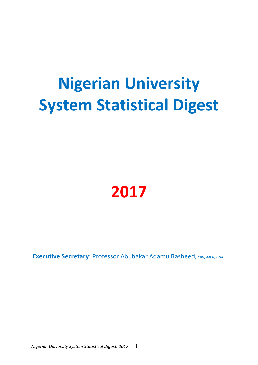# **Nigerian University System Statistical Digest**



**Executive Secretary**: Professor Abubakar Adamu Rasheed, *mni, MFR, FNAL*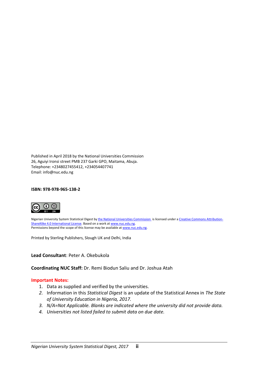Published in April 2018 by the National Universities Commission 26, Aguiyi Ironsi street PMB 237 Garki GPO, Maitama, Abuja. Telephone: +2348027455412, +234054407741 Email: info@nuc.edu.ng

#### **ISBN: 978-978-965-138-2**



Nigerian University System Statistical Digest b[y the](https://creativecommons.org/choose/www.peterokebukola.com) National Universities Commission is licensed under [a Creative Commons Attribution-](http://creativecommons.org/licenses/by-sa/4.0/)[ShareAlike 4.0 International License.](http://creativecommons.org/licenses/by-sa/4.0/) Based on a work a[t www.nuc.edu.ng.](http://www.nuc.edu.ng/) Permissions beyond the scope of this license may be available a[t www.nuc.edu.ng.](http://www.nuc.edu.ng/)

Printed by Sterling Publishers, Slough UK and Delhi, India

#### **Lead Consultant**: Peter A. Okebukola

**Coordinating NUC Staff:** Dr. Remi Biodun Saliu and Dr. Joshua Atah

#### **Important Notes:**

- 1. Data as supplied and verified by the universities.
- *2.* Information in this *Statistical Digest* is an update of the Statistical Annex in *The State of University Education in Nigeria, 2017.*
- *3. N/A=Not Applicable. Blanks are indicated where the university did not provide data.*
- *4. Universities not listed failed to submit data on due date.*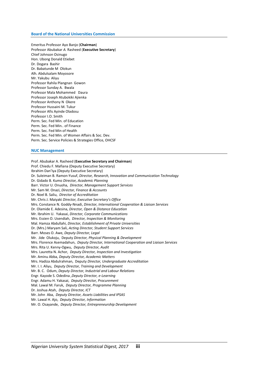#### **Board of the National Universities Commission**

Emeritus Professor Ayo Banjo (**Chairman**) Professor Abubakar *A.* Rasheed (**Executive Secretary**) Chief Johnson Osinugo Hon. Ubong Donald Etiebet Dr. Dogara Bashir Dr. Babatunde M Olokun Alh. Abdulsalam Moyosore Mr. Yakubu Aliyu Professor Rahila Plangnan Gowon Professor Sunday A. Bwala Professor Mala Mohammed Daura Professor Joseph Atubokiki Ajienka Professor Anthony N Okere Professor Hussaini M. Tukur Professor Afis Ayinde Oladosu Professor I.O. Smith Perm. Sec. Fed Min. of Education Perm. Sec. Fed Min.. of Finance Perm. Sec. Fed Min of Health Perm. Sec. Fed Min. of Women Affairs & Soc. Dev. Perm. Sec. Service Policies & Strategies Office, OHCSF

#### **NUC Management**

Prof. Abubakar A. Rasheed (**Executive Secretary and Chairman**) Prof. Chiedu F. Mafiana (Deputy Executive Secretary) Ibrahim Dan'Iya (Deputy Executive Secretary) Dr. Suleiman B. Ramon-Yusuf, *Director, Research, Innovation and Communication Technology* Dr. Gidado B. Kumo *Director, Academic Planning* Barr. Victor U. Onuoha, *Director, Management Support Services* Mr. Sam M. Onazi, *Director, Finance & Accounts*  Dr. Noel B. Saliu, *Director of Accreditation* Mr. Chris J. Maiyaki *Director, Executive Secretary's Office* Mrs. Constance N. Goddy-Nnadi, *Director, International Cooperation & Liaison Services* Dr. Olamide E. Adesina, *Director, Open & Distance Education*  Mr. Ibrahim U. Yakasai, *Director, Corporate Communications* Mrs. Essien O. Usendiah, *Director, Inspection & Monitoring* Mal. Hamza Abdullahi, *Director, Establishment of Private Universities* Dr. (Mrs.) Maryam Sali, *Acting Director, Student Support Services* Barr. Moses O. Awe, *Deputy Director, Legal* Mr. Jide Olukoju, Deputy *Director, Physical Planning & Development* Mrs. Florence Asemadahun, *Deputy Director, International Cooperation and Liaison Services* Mrs. Rita U. Kenny-Ogwu, *Deputy Director, Audit* Mrs. Lauretta N. Achor, *Deputy Director, Inspection and Investigation* Mr. Aminu Abba, *Deputy Director, Academic Matters* Mrs. Hadiza Abdulrahman, Deputy *Director, Undergraduate Accreditation* Mr. I. I. Aliyu, *Deputy Director, Training and Development* Mr. B. C. Odum, *Deputy Director, Industrial and Labour Relations* Engr. Kayode S. Odedina *,Deputy Director, e-Learning* Engr. Adamu H. Yakasai, *Deputy Director, Procurement* Mal. Lawal M. Faruk, *Deputy Director, Programme Planning* Dr. Joshua Atah, *Deputy Director, ICT* Mr. John Aba, *Deputy Director, Assets Liabilities and IPSAS* Mr. Lawal H. Ajo, *Deputy Director, Information* Mr. O. Osayande, *Deputy Director, Entrepreneurship Development*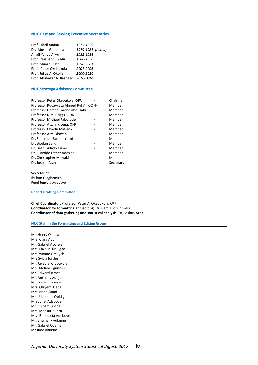#### **NUC Past and Serving Executive Secretaries**

| Prof. Jibril Aminu                  | 1975-1979         |
|-------------------------------------|-------------------|
| Dr. Abel Goubadia                   | 1979-1981 (Acted) |
| Alhaji Yahya Aliyu                  | 1981-1986         |
| Prof. Idris Abdulkadir              | 1986-1996         |
| Prof. Munzali Jibril                | 1996-2001         |
| Prof. Peter Okebukola               | 2001-2006         |
| Prof. Julius A. Okojie              | 2006-2016         |
| Prof. Abubakar A. Rasheed 2016-Date |                   |

#### **NUC Strategy Advisory Committee**

| Professor Peter Okebukola, OFR         | Chairman  |
|----------------------------------------|-----------|
| Professor Rugayyatu Ahmed Rufa'l, OON- | Member    |
| Professor Gambo Laraba Abdullahi       | Member    |
| Professor Nimi Briggs, OON             | Member    |
| Professor Michael Faborode             | Member    |
| Professor Attahiru Jega, OFR           | Member    |
| Professor Chiedu Mafiana               | Member    |
| Professor Aize Obayan                  | Member    |
| Dr. Suleiman Ramon-Yusuf               | Member    |
| Dr. Biodun Saliu                       | Member    |
| Dr. Bello Gidado Kumo                  | Member    |
| Dr. Olamide Esther Adesina             | Member    |
| Dr. Christopher Maiyaki                | Member    |
| Dr. Joshua Atah                        | Secretary |
|                                        |           |

#### **Secretariat**

Ibukun Olagbemiro Femi Jenrola Adebayo

#### **Report Drafting Committee**

**Chief Coordinato**r: Professor Peter A. Okebukola, *OFR* **Coordinator for formatting and editing**: Dr. Remi Biodun Saliu **Coordinator of data gathering and statistical analysis**: Dr. Joshua Atah

#### **NUC Staff in the Formatting and Editing Group**

Mr. Henry Okpala Mrs. Clara Abu Mr. Gabriel Aborele Mrs. Favour Unuigbe Mrs Yvonne Orekyeh Mrs Sylvia Iorshe Mr. Jayeola Olubukola Mr. Afolabi Ogunnusi Mr. Edward James Mr. Anthony Adejumo Mr. Peter Tobrise Mrs. Olayemi Dada Mrs. Nana Sanni Mrs. Uchenna Obidigbo Mrs Juliet Adeboye Mr. Olufemi Aloba Mrs. Mansur Bunza Miss Benedicta Adeboye Mr. Enuma Ikwukeme Mr. Gabriel Odama Mr.Jude Akubue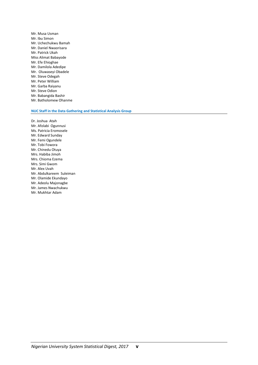Mr. Musa Usman Mr. Ibu Simon Mr. Uchechukwu Bamah Mr. Daniel Nwaorisara Mr. Patrick Ukah Miss Alimat Babayode Mr. Efe Ehioghae Mr. Damilola Adedipe Mr. Oluwaseyi Obadele Mr. Steve Odegah Mr. Peter William Mr. Garba Raiyanu Mr. Steve Odion Mr. Babangida Bashir Mr. Batholomew Ohanme

#### **NUC Staff in the Data Gathering and Statistical Analysis Group**

Dr. Joshua Atah Mr. Afolabi Ogunnusi Ms. Patricia Eromosele Mr. Edward Sunday Mr. Femi Ogundele Mr. Tobi Fowora Mr. Chinedu Otuya Mrs. Habiba Jimoh Mrs. Chioma Ezema Mrs. Simi Gwom Mr. Alex Uvah Mr. Abdulkareem Suleiman Mr. Olamide Ekundayo Mr. Adeolu Majonagbe Mr. James Nwachukwu Mr. Mukhtar Adam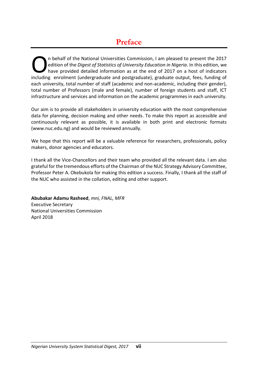<span id="page-6-0"></span>n behalf of the National Universities Commission, I am pleased to present the 2017 edition of the *Digest of Statistics of University Education in Nigeria*. In this edition, we have provided detailed information as at the end of 2017 on a host of indicators In behalf of the National Universities Commission, I am pleased to present the 2017 edition of the *Digest of Statistics of University Education in Nigeria*. In this edition, we have provided detailed information as at the each university, total number of staff (academic and non-academic, including their gender), total number of Professors (male and female), number of foreign students and staff, ICT infrastructure and services and information on the academic programmes in each university.

Our aim is to provide all stakeholders in university education with the most comprehensive data for planning, decision making and other needs. To make this report as accessible and continuously relevant as possible, it is available in both print and electronic formats (www.nuc.edu.ng) and would be reviewed annually.

We hope that this report will be a valuable reference for researchers, professionals, policy makers, donor agencies and educators.

I thank all the Vice-Chancellors and their team who provided all the relevant data. I am also grateful for the tremendous efforts of the Chairman of the NUC Strategy Advisory Committee, Professor Peter A. Okebukola for making this edition a success. Finally, I thank all the staff of the NUC who assisted in the collation, editing and other support.

**Abubakar Adamu Rasheed**, *mni, FNAL, MFR* Executive Secretary National Universities Commission April 2018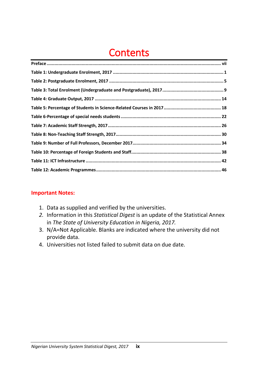## **Contents**

#### **Important Notes:**

- 1. Data as supplied and verified by the universities.
- *2.* Information in this *Statistical Digest* is an update of the Statistical Annex in *The State of University Education in Nigeria, 2017.*
- 3. N/A=Not Applicable. Blanks are indicated where the university did not provide data.
- 4. Universities not listed failed to submit data on due date.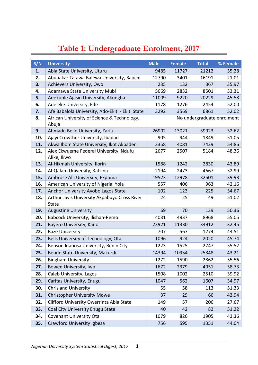<span id="page-10-0"></span>

| S/N | <b>University</b>                                            | <b>Male</b>                | <b>Female</b> | <b>Total</b> | % Female |  |  |
|-----|--------------------------------------------------------------|----------------------------|---------------|--------------|----------|--|--|
| 1.  | Abia State University, Uturu                                 | 9485                       | 11727         | 21212        | 55.28    |  |  |
| 2.  | Abubakar Tafawa Balewa University, Bauchi                    | 12790                      | 3401          | 16191        | 21.01    |  |  |
| 3.  | Achievers University, Owo                                    | 235                        | 132           | 367          | 35.97    |  |  |
| 4.  | Adamawa State University Mubi                                | 5669                       | 2832          | 8501         | 33.31    |  |  |
| 5.  | Adekunle Ajasin University, Akungba                          | 11009                      | 9220          | 20229        | 45.58    |  |  |
| 6.  | Adeleke University, Ede                                      | 1178                       | 1276          | 2454         | 52.00    |  |  |
| 7.  | Afe Babalola University, Ado-Ekiti - Ekiti State             | 3292                       | 3569          | 6861         | 52.02    |  |  |
| 8.  | African University of Science & Technology,<br>Abuja         | No undergraduate enrolment |               |              |          |  |  |
| 9.  | Ahmadu Bello University, Zaria                               | 26902                      | 13021         | 39923        | 32.62    |  |  |
| 10. | Ajayi Crowther University, Ibadan                            | 905                        | 944           | 1849         | 51.05    |  |  |
| 11. | Akwa Ibom State University, Ikot Akpaden                     | 3358                       | 4081          | 7439         | 54.86    |  |  |
| 12. | Alex Ekwueme Federal University, Ndufu<br>Alike, Ikwo        | 2677                       | 2507          | 5184         | 48.36    |  |  |
| 13. | Al-Hikmah University, Ilorin                                 | 1588                       | 1242          | 2830         | 43.89    |  |  |
| 14. | Al-Qalam University, Katsina                                 | 2194                       | 2473          | 4667         | 52.99    |  |  |
| 15. | Ambrose Alli University, Ekpoma                              | 19523                      | 12978         | 32501        | 39.93    |  |  |
| 16. | American University of Nigeria, Yola                         | 557                        | 406           | 963          | 42.16    |  |  |
| 17. | Anchor University Ayobo Lagos State                          | 102                        | 123           | 225          | 54.67    |  |  |
| 18. | Arthur Javis University Akpabuyo Cross River<br><b>State</b> | 24                         | 25            | 49           | 51.02    |  |  |
| 19. | <b>Augustine University</b>                                  | 69                         | 70            | 139          | 50.36    |  |  |
| 20. | Babcock University, Ilishan-Remo                             | 4031                       | 4937          | 8968         | 55.05    |  |  |
| 21. | Bayero University, Kano                                      | 23921                      | 11330         | 34912        | 32.45    |  |  |
| 22. | <b>Baze University</b>                                       | 707                        | 567           | 1274         | 44.51    |  |  |
| 23. | Bells University of Technology, Ota                          | 1096                       | 924           | 2020         | 45.74    |  |  |
| 24. | Benson Idahosa University, Benin City                        | 1223                       | 1525          | 2747         | 55.52    |  |  |
| 25. | Benue State University, Makurdi                              | 14394                      | 10954         | 25348        | 43.21    |  |  |
| 26. | <b>Bingham University</b>                                    | 1272                       | 1590          | 2862         | 55.56    |  |  |
| 27. | Bowen University, Iwo                                        | 1672                       | 2379          | 4051         | 58.73    |  |  |
| 28. | Caleb University, Lagos                                      | 1508                       | 1002          | 2510         | 39.92    |  |  |
| 29. | Caritas University, Enugu                                    | 1047                       | 562           | 1607         | 34.97    |  |  |
| 30. | <b>Chrisland University</b>                                  | 55                         | 58            | 113          | 51.33    |  |  |
| 31. | <b>Christopher University Mowe</b>                           | 37                         | 29            | 66           | 43.94    |  |  |
| 32. | Clifford University Owerrinta Abia State                     | 149                        | 57            | 206          | 27.67    |  |  |
| 33. | Coal City University Enugu State                             | 40                         | 42            | 82           | 51.22    |  |  |
| 34. | <b>Covenant University Ota</b>                               | 1079                       | 826           | 1905         | 43.36    |  |  |
| 35. | Crawford University Igbesa                                   | 756                        | 595           | 1351         | 44.04    |  |  |

### **Table 1: Undergraduate Enrolment, 2017**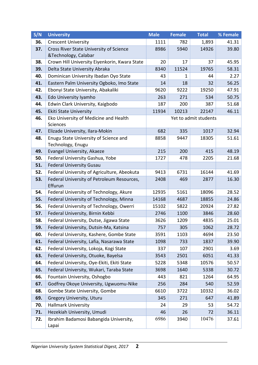| S/N | <b>University</b>                                     | <b>Male</b> | <b>Female</b> | <b>Total</b>          | % Female |
|-----|-------------------------------------------------------|-------------|---------------|-----------------------|----------|
| 36. | <b>Crescent University</b>                            | 1111        | 782           | 1,893                 | 41.31    |
| 37. | Cross River State University of Science               | 8986        | 5940          | 14926                 | 39.80    |
|     | &Technology, Calabar                                  |             |               |                       |          |
| 38. | Crown Hill University Eiyenkorin, Kwara State         | 20          | 17            | 37                    | 45.95    |
| 39. | Delta State University Abraka                         | 8340        | 11524         | 19765                 | 58.31    |
| 40. | Dominican University Ibadan Oyo State                 | 43          | 1             | 44                    | 2.27     |
| 41. | Eastern Palm University Ogboko, Imo State             | 14          | 18            | 32                    | 56.25    |
| 42. | Ebonyi State University, Abakaliki                    | 9620        | 9222          | 19250                 | 47.91    |
| 43. | Edo University Iyamho                                 | 263         | 271           | 534                   | 50.75    |
| 44. | Edwin Clark University, Kaigbodo                      | 187         | 200           | 387                   | 51.68    |
| 45. | <b>Ekiti State University</b>                         | 11934       | 10213         | 22147                 | 46.11    |
| 46. | Eko University of Medicine and Health                 |             |               | Yet to admit students |          |
|     | Sciences                                              |             |               |                       |          |
| 47. | Elizade University, Ilara-Mokin                       | 682         | 335           | 1017                  | 32.94    |
| 48. | Enugu State University of Science and                 | 8858        | 9447          | 18305                 | 51.61    |
|     | Technology, Enugu                                     |             |               |                       |          |
| 49. | Evangel University, Akaeze                            | 215         | 200           | 415                   | 48.19    |
| 50. | Federal University Gashua, Yobe                       | 1727        | 478           | 2205                  | 21.68    |
| 51. | <b>Federal University Gusau</b>                       |             |               |                       |          |
| 52. | Federal University of Agriculture, Abeokuta           | 9413        | 6731          | 16144                 | 41.69    |
| 53. | Federal University of Petroleum Resources,<br>Effurun | 2408        | 469           | 2877                  | 16.30    |
| 54. | Federal University of Technology, Akure               | 12935       | 5161          | 18096                 | 28.52    |
| 55. | Federal University of Technology, Minna               | 14168       | 4687          | 18855                 | 24.86    |
| 56. | Federal University of Technology, Owerri              | 15102       | 5822          | 20924                 | 27.82    |
| 57. | Federal University, Birnin Kebbi                      | 2746        | 1100          | 3846                  | 28.60    |
| 58. | Federal University, Dutse, Jigawa State               | 3626        | 1209          | 4835                  | 25.01    |
| 59. | Federal University, Dutsin-Ma, Katsina                | 757         | 305           | 1062                  | 28.72    |
| 60. | Federal University, Kashere, Gombe State              | 3591        | 1103          | 4694                  | 23.50    |
| 61. | Federal University, Lafia, Nasarawa State             | 1098        | 733           | 1837                  | 39.90    |
| 62. | Federal University, Lokoja, Kogi State                | 337         | 107           | 2901                  | 3.69     |
| 63. | Federal University, Otuoke, Bayelsa                   | 3543        | 2501          | 6051                  | 41.33    |
| 64. | Federal University, Oye-Ekiti, Ekiti State            | 5228        | 5348          | 10576                 | 50.57    |
| 65. | Federal University, Wukari, Taraba State              | 3698        | 1640          | 5338                  | 30.72    |
| 66. | Fountain University, Oshogbo                          | 443         | 821           | 1264                  | 64.95    |
| 67. | Godfrey Okoye University, Ugwuomu-Nike                | 256         | 284           | 540                   | 52.59    |
| 68. | Gombe State University, Gombe                         | 6610        | 3722          | 10332                 | 36.02    |
| 69. | <b>Gregory University, Uturu</b>                      | 345         | 271           | 647                   | 41.89    |
| 70. | <b>Hallmark University</b>                            | 24          | 29            | 53                    | 54.72    |
| 71. | Hezekiah University, Umudi                            | 46          | 26            | 72                    | 36.11    |
| 72. | Ibrahim Badamosi Babangida University,                | 6986        | 3940          | 10476                 | 37.61    |
|     | Lapai                                                 |             |               |                       |          |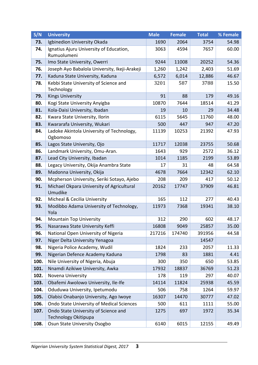| S/N  | <b>University</b>                                            | <b>Male</b> | <b>Female</b> | <b>Total</b> | % Female |
|------|--------------------------------------------------------------|-------------|---------------|--------------|----------|
| 73.  | Igbinedion University Okada                                  | 1690        | 2064          | 3754         | 54.98    |
| 74.  | Ignatius Ajuru University of Education,                      | 3063        | 4594          | 7657         | 60.00    |
|      | Rumuolumeni                                                  |             |               |              |          |
| 75.  | Imo State University, Owerri                                 | 9244        | 11008         | 20252        | 54.36    |
| 76.  | Joseph Ayo Babalola University, Ikeji-Arakeji                | 1,260       | 1,242         | 2,403        | 51.69    |
| 77.  | Kaduna State University, Kaduna                              | 6,572       | 6,014         | 12,886       | 46.67    |
| 78.  | Kebbi State University of Science and<br>Technology          | 3201        | 587           | 3788         | 15.50    |
| 79.  | <b>Kings University</b>                                      | 91          | 88            | 179          | 49.16    |
| 80.  | Kogi State University Anyigba                                | 10870       | 7644          | 18514        | 41.29    |
| 81.  | Kola-Daisi University, Ibadan                                | 19          | 10            | 29           | 34.48    |
| 82.  | Kwara State University, Ilorin                               | 6115        | 5645          | 11760        | 48.00    |
| 83.  | Kwararafa University, Wukari                                 | 500         | 447           | 947          | 47.20    |
| 84.  | Ladoke Akintola University of Technology,<br>Ogbomoso        | 11139       | 10253         | 21392        | 47.93    |
| 85.  | Lagos State University, Ojo                                  | 11717       | 12038         | 23755        | 50.68    |
| 86.  | Landmark University, Omu-Aran.                               | 1643        | 929           | 2572         | 36.12    |
| 87.  | Lead City University, Ibadan                                 | 1014        | 1185          | 2199         | 53.89    |
| 88.  | Legacy University, Okija Anambra State                       | 17          | 31            | 48           | 64.58    |
| 89.  | Madonna University, Okija                                    | 4678        | 7664          | 12342        | 62.10    |
| 90.  | Mcpherson University, Seriki Sotayo, Ajebo                   | 208         | 209           | 417          | 50.12    |
| 91.  | Michael Okpara University of Agricultural                    | 20162       | 17747         | 37909        | 46.81    |
|      | Umudike                                                      |             |               |              |          |
| 92.  | Micheal & Cecilia University                                 | 165         | 112           | 277          | 40.43    |
| 93.  | Modibbo Adama University of Technology,<br>Yola              | 11973       | 7368          | 19341        | 38.10    |
| 94.  | <b>Mountain Top University</b>                               | 312         | 290           | 602          | 48.17    |
| 95.  | Nasarawa State University Keffi                              | 16808       | 9049          | 25857        | 35.00    |
| 96.  | National Open University of Nigeria                          | 217216      | 174740        | 391956       | 44.58    |
| 97.  | Niger Delta University Yenagoa                               |             |               | 14547        |          |
| 98.  | Nigeria Police Academy, Wudil                                | 1824        | 233           | 2057         | 11.33    |
| 99.  | Nigerian Defence Academy Kaduna                              | 1798        | 83            | 1881         | 4.41     |
| 100. | Nile University of Nigeria, Abuja                            | 300         | 350           | 650          | 53.85    |
| 101. | Nnamdi Azikiwe University, Awka                              | 17932       | 18837         | 36769        | 51.23    |
| 102. | Novena University                                            | 178         | 119           | 297          | 40.07    |
| 103. | Obafemi Awolowo University, Ile-Ife                          | 14114       | 11824         | 25938        | 45.59    |
| 104. | Oduduwa University, Ipetumodu                                | 506         | 758           | 1264         | 59.97    |
| 105. | Olabisi Onabanjo University, Ago Iwoye                       | 16307       | 14470         | 30777        | 47.02    |
| 106. | Ondo State University of Medical Sciences                    | 500         | 611           | 1111         | 55.00    |
| 107. | Ondo State University of Science and<br>Technology Okitipupa | 1275        | 697           | 1972         | 35.34    |
| 108. | Osun State University Osogbo                                 | 6140        | 6015          | 12155        | 49.49    |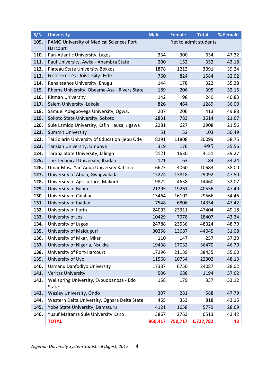| S/N  | <b>University</b>                             | <b>Male</b> | <b>Female</b> | <b>Total</b>          | % Female |
|------|-----------------------------------------------|-------------|---------------|-----------------------|----------|
| 109. | PAMO University of Medical Sciences Port      |             |               | Yet to admit students |          |
|      | Harcourt                                      |             |               |                       |          |
| 110. | Pan-Atlantic University, Lagos                | 334         | 300           | 634                   | 47.32    |
| 111. | Paul University, Awka - Anambra State         | 200         | 152           | 352                   | 43.18    |
| 112. | Plateau State University Bokkos               | 1878        | 1213          | 3091                  | 39.24    |
| 113. | Redeemer's University, Ede                    | 760         | 824           | 1584                  | 52.02    |
| 114. | Renaissance University, Enugu                 | 144         | 178           | 322                   | 55.28    |
| 115. | Rhema University, Obeama-Asa - Rivers State   | 189         | 206           | 395                   | 52.15    |
| 116. | <b>Ritman University</b>                      | 142         | 98            | 240                   | 40.83    |
| 117. | Salem University, Lokoja                      | 826         | 464           | 1289                  | 36.00    |
| 118. | Samuel Adegboyega University, Ogwa.           | 207         | 206           | 413                   | 49.88    |
| 119. | Sokoto State University, Sokoto               | 2831        | 783           | 3614                  | 21.67    |
| 120. | Sule Lamido University, Kafin Hausa, Jigawa   | 2281        | 627           | 2908                  | 21.56    |
| 121. | <b>Summit University</b>                      | 51          | 52            | 103                   | 50.49    |
| 122. | Tai Solarin University of Education Ijebu Ode | 8291        | 11808         | 20099                 | 58.75    |
| 123. | Tansian University, Umunya                    | 319         | 176           | 495                   | 35.56    |
| 124. | Taraba State University, Jalingo              | 2521        | 1630          | 4151                  | 39.27    |
| 125. | The Technical University, Ibadan              | 121         | 63            | 184                   | 34.24    |
| 126. | Umar Musa Yar' Adua University Katsina        | 6623        | 4060          | 10683                 | 38.00    |
| 127. | University of Abuja, Gwagwalada               | 15274       | 13818         | 29092                 | 47.50    |
| 128. | University of Agriculture, Makurdi            | 9822        | 4638          | 14460                 | 32.07    |
| 129. | University of Benin                           | 21295       | 19261         | 40556                 | 47.49    |
| 130. | University of Calabar                         | 13464       | 16102         | 29566                 | 54.46    |
| 131. | University of Ibadan                          | 7548        | 6806          | 14354                 | 47.42    |
| 132. | University of Ilorin                          | 24093       | 23311         | 47404                 | 49.18    |
| 133. | University of Jos                             | 10429       | 7978          | 18407                 | 43.34    |
| 134. | University of Lagos                           | 24788       | 23536         | 48324                 | 48.70    |
| 135. | University of Maiduguri                       | 30358       | 13687         | 44045                 | 31.08    |
| 136. | University of Mkar, Mkar                      | 110         | 147           | 257                   | 57.20    |
| 137. | University of Nigeria, Nsukka                 | 19438       | 17032         | 36470                 | 46.70    |
| 138. | University of Port-Harcourt                   | 17296       | 21139         | 38435                 | 55.00    |
| 139. | University of Uyo                             | 11568       | 10734         | 22302                 | 48.13    |
| 140. | Usmanu Danfodiyo University                   | 17337       | 6750          | 24087                 | 28.02    |
| 141. | <b>Veritas University</b>                     | 506         | 688           | 1194                  | 57.62    |
| 142. | Wellspring University, Evbuobanosa - Edo      | 158         | 179           | 337                   | 53.12    |
|      | <b>State</b>                                  |             |               |                       |          |
| 143. | Wesley University, Ondo                       | 307         | 281           | 588                   | 47.79    |
| 144. | Western Delta University, Oghara Delta State  | 465         | 353           | 818                   | 43.15    |
| 145. | Yobe State University, Damaturu               | 4121        | 1658          | 5779                  | 28.69    |
| 146. | Yusuf Maitama Sule University Kano            | 3867        | 2763          | 6513                  | 42.42    |
|      | <b>TOTAL</b>                                  | 960,417     | 750,717       | 1,727,782             | 43       |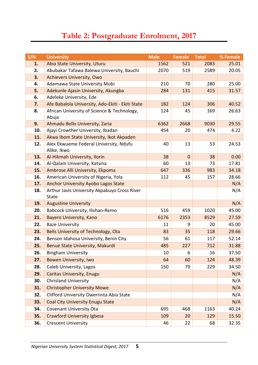### **Table 2: Postgraduate Enrolment, 2017**

<span id="page-14-0"></span>

| S/N | <b>University</b>                                            | <b>Male</b> | <b>Female</b> | <b>Total</b> | % Female |
|-----|--------------------------------------------------------------|-------------|---------------|--------------|----------|
| 1.  | Abia State University, Uturu                                 | 1562        | 521           | 2083         | 25.01    |
| 2.  | Abubakar Tafawa Balewa University, Bauchi                    | 2070        | 519           | 2589         | 20.05    |
| 3.  | <b>Achievers University, Owo</b>                             |             |               |              |          |
| 4.  | Adamawa State University Mubi                                | 210         | 70            | 280          | 25.00    |
| 5.  | Adekunle Ajasin University, Akungba                          | 284         | 131           | 415          | 31.57    |
| 6.  | Adeleke University, Ede                                      |             |               |              |          |
| 7.  | Afe Babalola University, Ado-Ekiti - Ekiti State             | 182         | 124           | 306          | 40.52    |
| 8.  | African University of Science & Technology,<br>Abuja         | 124         | 45            | 169          | 26.63    |
| 9.  | Ahmadu Bello University, Zaria                               | 6362        | 2668          | 9030         | 29.55    |
| 10. | Ajayi Crowther University, Ibadan                            | 454         | 20            | 474          | 4.22     |
| 11. | Akwa Ibom State University, Ikot Akpaden                     |             |               |              |          |
| 12. | Alex Ekwueme Federal University, Ndufu<br>Alike, Ikwo        | 40          | 13            | 53           | 24.53    |
| 13. | Al-Hikmah University, Ilorin                                 | 38          | $\mathbf 0$   | 38           | 0.00     |
| 14. | Al-Qalam University, Katsina                                 | 60          | 13            | 73           | 17.81    |
| 15. | Ambrose Alli University, Ekpoma                              | 647         | 336           | 983          | 34.18    |
| 16. | American University of Nigeria, Yola                         | 112         | 45            | 157          | 28.66    |
| 17. | <b>Anchor University Ayobo Lagos State</b>                   |             |               |              | N/A      |
| 18. | Arthur Javis University Akpabuyo Cross River<br><b>State</b> |             |               |              | N/A      |
| 19. | <b>Augustine University</b>                                  |             |               |              | N/A      |
| 20. | Babcock University, Ilishan-Remo                             | 516         | 459           | 1020         | 45.00    |
| 21. | <b>Bayero University, Kano</b>                               | 6176        | 2353          | 8529         | 27.59    |
| 22. | <b>Baze University</b>                                       | 11          | 9             | 20           | 45.00    |
| 23. | Bells University of Technology, Ota                          | 83          | 35            | 118          | 29.66    |
| 24. | Benson Idahosa University, Benin City                        | 56          | 61            | 117          | 52.14    |
| 25. | Benue State University, Makurdi                              | 485         | 227           | 712          | 31.88    |
| 26. | <b>Bingham University</b>                                    | 10          | 6             | 16           | 37.50    |
| 27. | <b>Bowen University, Iwo</b>                                 | 64          | 60            | 124          | 48.39    |
| 28. | Caleb University, Lagos                                      | 150         | 79            | 229          | 34.50    |
| 29. | <b>Caritas University, Enugu</b>                             |             |               |              | N/A      |
| 30. | <b>Chrisland University</b>                                  |             |               |              | N/A      |
| 31. | <b>Christopher University Mowe</b>                           |             |               |              | N/A      |
| 32. | Clifford University Owerrinta Abia State                     |             |               |              | N/A      |
| 33. | <b>Coal City University Enugu State</b>                      |             |               |              | N/A      |
| 34. | <b>Covenant University Ota</b>                               | 695         | 468           | 1163         | 40.24    |
| 35. | <b>Crawford University Igbesa</b>                            | 109         | 20            | 129          | 15.50    |
| 36. | <b>Crescent University</b>                                   | 46          | 22            | 68           | 32.35    |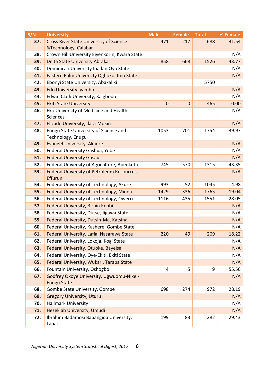| S/N | <b>University</b>                                            | <b>Male</b> | <b>Female</b> | <b>Total</b> | % Female |
|-----|--------------------------------------------------------------|-------------|---------------|--------------|----------|
| 37. | <b>Cross River State University of Science</b>               | 471         | 217           | 688          | 31.54    |
|     | &Technology, Calabar                                         |             |               |              |          |
| 38. | Crown Hill University Eiyenkorin, Kwara State                |             |               |              | N/A      |
| 39. | Delta State University Abraka                                | 858         | 668           | 1526         | 43.77    |
| 40. | Dominican University Ibadan Oyo State                        |             |               |              | N/A      |
| 41. | Eastern Palm University Ogboko, Imo State                    |             |               |              | N/A      |
| 42. | Ebonyi State University, Abakaliki                           |             |               | 5750         |          |
| 43. | <b>Edo University Iyamho</b>                                 |             |               |              | N/A      |
| 44. | Edwin Clark University, Kaigbodo                             |             |               |              | N/A      |
| 45. | <b>Ekiti State University</b>                                | $\mathbf 0$ | $\mathbf 0$   | 465          | 0.00     |
| 46. | Eko University of Medicine and Health<br><b>Sciences</b>     |             |               |              | N/A      |
| 47. | Elizade University, Ilara-Mokin                              |             |               |              | N/A      |
| 48. | Enugu State University of Science and                        | 1053        | 701           | 1754         | 39.97    |
|     | Technology, Enugu                                            |             |               |              |          |
| 49. | <b>Evangel University, Akaeze</b>                            |             |               |              | N/A      |
| 50. | Federal University Gashua, Yobe                              |             |               |              | N/A      |
| 51. | <b>Federal University Gusau</b>                              |             |               |              | N/A      |
| 52. | Federal University of Agriculture, Abeokuta                  | 745         | 570           | 1315         | 43.35    |
| 53. | <b>Federal University of Petroleum Resources,</b><br>Effurun |             |               |              | N/A      |
| 54. | Federal University of Technology, Akure                      | 993         | 52            | 1045         | 4.98     |
| 55. | Federal University of Technology, Minna                      | 1429        | 336           | 1765         | 19.04    |
| 56. | Federal University of Technology, Owerri                     | 1116        | 435           | 1551         | 28.05    |
| 57. | Federal University, Birnin Kebbi                             |             |               |              | N/A      |
| 58. | Federal University, Dutse, Jigawa State                      |             |               |              | N/A      |
| 59. | Federal University, Dutsin-Ma, Katsina                       |             |               |              | N/A      |
| 60. | Federal University, Kashere, Gombe State                     |             |               |              | N/A      |
| 61. | Federal University, Lafia, Nasarawa State                    | 220         | 49            | 269          | 18.22    |
| 62. | Federal University, Lokoja, Kogi State                       |             |               |              | N/A      |
| 63. | Federal University, Otuoke, Bayelsa                          |             |               |              | N/A      |
| 64. | Federal University, Oye-Ekiti, Ekiti State                   |             |               |              | N/A      |
| 65. | Federal University, Wukari, Taraba State                     |             |               |              | N/A      |
| 66. | Fountain University, Oshogbo                                 | 4           | 5             | 9            | 55.56    |
| 67. | Godfrey Okoye University, Ugwuomu-Nike -                     |             |               |              | N/A      |
|     | <b>Enugu State</b>                                           |             |               |              |          |
| 68. | Gombe State University, Gombe                                | 698         | 274           | 972          | 28.19    |
| 69. | <b>Gregory University, Uturu</b>                             |             |               |              | N/A      |
| 70. | <b>Hallmark University</b>                                   |             |               |              | N/A      |
| 71. | Hezekiah University, Umudi                                   |             |               |              | N/A      |
| 72. | Ibrahim Badamosi Babangida University,<br>Lapai              | 199         | 83            | 282          | 29.43    |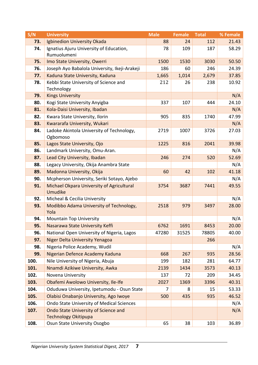| S/N  | <b>University</b>                                                   | <b>Male</b> | <b>Female</b> | <b>Total</b> | % Female |
|------|---------------------------------------------------------------------|-------------|---------------|--------------|----------|
| 73.  | Igbinedion University Okada                                         | 88          | 24            | 112          | 21.43    |
| 74.  | Ignatius Ajuru University of Education,<br>Rumuolumeni              | 78          | 109           | 187          | 58.29    |
| 75.  | Imo State University, Owerri                                        | 1500        | 1530          | 3030         | 50.50    |
| 76.  | Joseph Ayo Babalola University, Ikeji-Arakeji                       | 186         | 60            | 246          | 24.39    |
| 77.  | Kaduna State University, Kaduna                                     | 1,665       | 1,014         | 2,679        | 37.85    |
| 78.  | Kebbi State University of Science and<br>Technology                 | 212         | 26            | 238          | 10.92    |
| 79.  | <b>Kings University</b>                                             |             |               |              | N/A      |
| 80.  | Kogi State University Anyigba                                       | 337         | 107           | 444          | 24.10    |
| 81.  | Kola-Daisi University, Ibadan                                       |             |               |              | N/A      |
| 82.  | Kwara State University, Ilorin                                      | 905         | 835           | 1740         | 47.99    |
| 83.  | Kwararafa University, Wukari                                        |             |               |              | N/A      |
| 84.  | Ladoke Akintola University of Technology,<br>Ogbomoso               | 2719        | 1007          | 3726         | 27.03    |
| 85.  | Lagos State University, Ojo                                         | 1225        | 816           | 2041         | 39.98    |
| 86.  | Landmark University, Omu-Aran.                                      |             |               |              | N/A      |
| 87.  | Lead City University, Ibadan                                        | 246         | 274           | 520          | 52.69    |
| 88.  | Legacy University, Okija Anambra State                              |             |               |              | N/A      |
| 89.  | Madonna University, Okija                                           | 60          | 42            | 102          | 41.18    |
| 90.  | Mcpherson University, Seriki Sotayo, Ajebo                          |             |               |              | N/A      |
| 91.  | Michael Okpara University of Agricultural<br><b>Umudike</b>         | 3754        | 3687          | 7441         | 49.55    |
| 92.  | Micheal & Cecilia University                                        |             |               |              | N/A      |
| 93.  | Modibbo Adama University of Technology,<br>Yola                     | 2518        | 979           | 3497         | 28.00    |
| 94.  | <b>Mountain Top University</b>                                      |             |               |              | N/A      |
| 95.  | Nasarawa State University Keffi                                     | 6762        | 1691          | 8453         | 20.00    |
| 96.  | National Open University of Nigeria, Lagos                          | 47280       | 31525         | 78805        | 40.00    |
| 97.  | Niger Delta University Yenagoa                                      |             |               | 266          |          |
| 98.  | Nigeria Police Academy, Wudil                                       |             |               |              | N/A      |
| 99.  | Nigerian Defence Academy Kaduna                                     | 668         | 267           | 935          | 28.56    |
| 100. | Nile University of Nigeria, Abuja                                   | 199         | 182           | 281          | 64.77    |
| 101. | Nnamdi Azikiwe University, Awka                                     | 2139        | 1434          | 3573         | 40.13    |
| 102. | Novena University                                                   | 137         | 72            | 209          | 34.45    |
| 103. | Obafemi Awolowo University, Ile-Ife                                 | 2027        | 1369          | 3396         | 40.31    |
| 104. | Oduduwa University, Ipetumodu - Osun State                          | 7           | 8             | 15           | 53.33    |
| 105. | Olabisi Onabanjo University, Ago Iwoye                              | 500         | 435           | 935          | 46.52    |
| 106. | Ondo State University of Medical Sciences                           |             |               |              | N/A      |
| 107. | Ondo State University of Science and<br><b>Technology Okitipupa</b> |             |               |              | N/A      |
| 108. | Osun State University Osogbo                                        | 65          | 38            | 103          | 36.89    |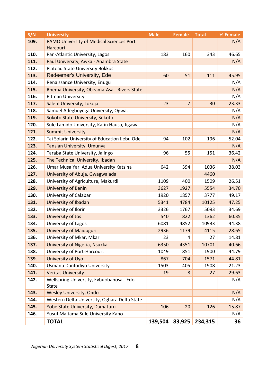| S/N  | <b>University</b>                               | <b>Male</b> | <b>Female</b>  | <b>Total</b> | % Female |
|------|-------------------------------------------------|-------------|----------------|--------------|----------|
| 109. | <b>PAMO University of Medical Sciences Port</b> |             |                |              | N/A      |
|      | Harcourt                                        |             |                |              |          |
| 110. | Pan-Atlantic University, Lagos                  | 183         | 160            | 343          | 46.65    |
| 111. | Paul University, Awka - Anambra State           |             |                |              | N/A      |
| 112. | Plateau State University Bokkos                 |             |                |              |          |
| 113. | <b>Redeemer's University, Ede</b>               | 60          | 51             | 111          | 45.95    |
| 114. | Renaissance University, Enugu                   |             |                |              | N/A      |
| 115. | Rhema University, Obeama-Asa - Rivers State     |             |                |              | N/A      |
| 116. | <b>Ritman University</b>                        |             |                |              | N/A      |
| 117. | Salem University, Lokoja                        | 23          | $\overline{7}$ | 30           | 23.33    |
| 118. | Samuel Adegboyega University, Ogwa.             |             |                |              | N/A      |
| 119. | Sokoto State University, Sokoto                 |             |                |              | N/A      |
| 120. | Sule Lamido University, Kafin Hausa, Jigawa     |             |                |              | N/A      |
| 121. | <b>Summit University</b>                        |             |                |              | N/A      |
| 122. | Tai Solarin University of Education Ijebu Ode   | 94          | 102            | 196          | 52.04    |
| 123. | Tansian University, Umunya                      |             |                |              | N/A      |
| 124. | Taraba State University, Jalingo                | 96          | 55             | 151          | 36.42    |
| 125. | The Technical University, Ibadan                |             |                |              | N/A      |
| 126. | Umar Musa Yar' Adua University Katsina          | 642         | 394            | 1036         | 38.03    |
| 127. | University of Abuja, Gwagwalada                 |             |                | 4460         |          |
| 128. | University of Agriculture, Makurdi              | 1109        | 400            | 1509         | 26.51    |
| 129. | <b>University of Benin</b>                      | 3627        | 1927           | 5554         | 34.70    |
| 130. | University of Calabar                           | 1920        | 1857           | 3777         | 49.17    |
| 131. | University of Ibadan                            | 5341        | 4784           | 10125        | 47.25    |
| 132. | University of Ilorin                            | 3326        | 1767           | 5093         | 34.69    |
| 133. | University of Jos                               | 540         | 822            | 1362         | 60.35    |
| 134. | University of Lagos                             | 6081        | 4852           | 10933        | 44.38    |
| 135. | <b>University of Maiduguri</b>                  | 2936        | 1179           | 4115         | 28.65    |
| 136. | University of Mkar, Mkar                        | 23          | 4              | 27           | 14.81    |
| 137. | University of Nigeria, Nsukka                   | 6350        | 4351           | 10701        | 40.66    |
| 138. | University of Port-Harcourt                     | 1049        | 851            | 1900         | 44.79    |
| 139. | University of Uyo                               | 867         | 704            | 1571         | 44.81    |
| 140. | Usmanu Danfodiyo University                     | 1503        | 405            | 1908         | 21.23    |
| 141. | <b>Veritas University</b>                       | 19          | 8              | 27           | 29.63    |
| 142. | Wellspring University, Evbuobanosa - Edo        |             |                |              | N/A      |
|      | <b>State</b>                                    |             |                |              |          |
| 143. | <b>Wesley University, Ondo</b>                  |             |                |              | N/A      |
| 144. | Western Delta University, Oghara Delta State    |             |                |              | N/A      |
| 145. | Yobe State University, Damaturu                 | 106         | 20             | 126          | 15.87    |
| 146. | Yusuf Maitama Sule University Kano              |             |                |              | N/A      |
|      | <b>TOTAL</b>                                    | 139,504     | 83,925         | 234,315      | 36       |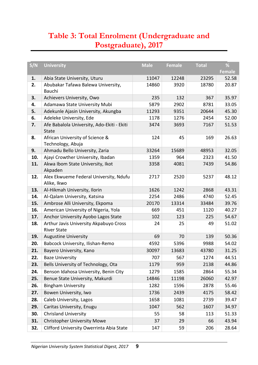### <span id="page-18-0"></span>**Table 3: Total Enrolment (Undergraduate and Postgraduate), 2017**

| S/N | <b>University</b>                                            | <b>Male</b> | <b>Female</b> | <b>Total</b> | %             |
|-----|--------------------------------------------------------------|-------------|---------------|--------------|---------------|
|     |                                                              |             |               |              | <b>Female</b> |
| 1.  | Abia State University, Uturu                                 | 11047       | 12248         | 23295        | 52.58         |
| 2.  | Abubakar Tafawa Balewa University,<br>Bauchi                 | 14860       | 3920          | 18780        | 20.87         |
| 3.  | Achievers University, Owo                                    | 235         | 132           | 367          | 35.97         |
| 4.  | Adamawa State University Mubi                                | 5879        | 2902          | 8781         | 33.05         |
| 5.  | Adekunle Ajasin University, Akungba                          | 11293       | 9351          | 20644        | 45.30         |
| 6.  | Adeleke University, Ede                                      | 1178        | 1276          | 2454         | 52.00         |
| 7.  | Afe Babalola University, Ado-Ekiti - Ekiti<br><b>State</b>   | 3474        | 3693          | 7167         | 51.53         |
| 8.  | African University of Science &<br>Technology, Abuja         | 124         | 45            | 169          | 26.63         |
| 9.  | Ahmadu Bello University, Zaria                               | 33264       | 15689         | 48953        | 32.05         |
| 10. | Ajayi Crowther University, Ibadan                            | 1359        | 964           | 2323         | 41.50         |
| 11. | Akwa Ibom State University, Ikot<br>Akpaden                  | 3358        | 4081          | 7439         | 54.86         |
| 12. | Alex Ekwueme Federal University, Ndufu<br>Alike, Ikwo        | 2717        | 2520          | 5237         | 48.12         |
| 13. | Al-Hikmah University, Ilorin                                 | 1626        | 1242          | 2868         | 43.31         |
| 14. | Al-Qalam University, Katsina                                 | 2254        | 2486          | 4740         | 52.45         |
| 15. | Ambrose Alli University, Ekpoma                              | 20170       | 13314         | 33484        | 39.76         |
| 16. | American University of Nigeria, Yola                         | 669         | 451           | 1120         | 40.27         |
| 17. | Anchor University Ayobo Lagos State                          | 102         | 123           | 225          | 54.67         |
| 18. | Arthur Javis University Akpabuyo Cross<br><b>River State</b> | 24          | 25            | 49           | 51.02         |
| 19. | <b>Augustine University</b>                                  | 69          | 70            | 139          | 50.36         |
| 20. | Babcock University, Ilishan-Remo                             | 4592        | 5396          | 9988         | 54.02         |
| 21. | Bayero University, Kano                                      | 30097       | 13683         | 43780        | 31.25         |
| 22. | <b>Baze University</b>                                       | 707         | 567           | 1274         | 44.51         |
| 23. | Bells University of Technology, Ota                          | 1179        | 959           | 2138         | 44.86         |
| 24. | Benson Idahosa University, Benin City                        | 1279        | 1585          | 2864         | 55.34         |
| 25. | Benue State University, Makurdi                              | 14846       | 11198         | 26060        | 42.97         |
| 26. | <b>Bingham University</b>                                    | 1282        | 1596          | 2878         | 55.46         |
| 27. | Bowen University, Iwo                                        | 1736        | 2439          | 4175         | 58.42         |
| 28. | Caleb University, Lagos                                      | 1658        | 1081          | 2739         | 39.47         |
| 29. | Caritas University, Enugu                                    | 1047        | 562           | 1607         | 34.97         |
| 30. | <b>Chrisland University</b>                                  | 55          | 58            | 113          | 51.33         |
| 31. | <b>Christopher University Mowe</b>                           | 37          | 29            | 66           | 43.94         |
| 32. | Clifford University Owerrinta Abia State                     | 147         | 59            | 206          | 28.64         |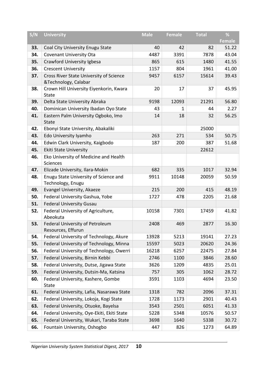| S/N | <b>University</b>                                               | <b>Male</b> | <b>Female</b> | <b>Total</b> | %             |
|-----|-----------------------------------------------------------------|-------------|---------------|--------------|---------------|
|     |                                                                 |             |               |              | <b>Female</b> |
| 33. | Coal City University Enugu State                                | 40          | 42            | 82           | 51.22         |
| 34. | <b>Covenant University Ota</b>                                  | 4487        | 3391          | 7878         | 43.04         |
| 35. | Crawford University Igbesa                                      | 865         | 615           | 1480         | 41.55         |
| 36. | <b>Crescent University</b>                                      | 1157        | 804           | 1961         | 41.00         |
| 37. | Cross River State University of Science<br>&Technology, Calabar | 9457        | 6157          | 15614        | 39.43         |
| 38. | Crown Hill University Eiyenkorin, Kwara<br><b>State</b>         | 20          | 17            | 37           | 45.95         |
| 39. | Delta State University Abraka                                   | 9198        | 12093         | 21291        | 56.80         |
| 40. | Dominican University Ibadan Oyo State                           | 43          | 1             | 44           | 2.27          |
| 41. | Eastern Palm University Ogboko, Imo<br><b>State</b>             | 14          | 18            | 32           | 56.25         |
| 42. | Ebonyi State University, Abakaliki                              |             |               | 25000        |               |
| 43. | Edo University Iyamho                                           | 263         | 271           | 534          | 50.75         |
| 44. | Edwin Clark University, Kaigbodo                                | 187         | 200           | 387          | 51.68         |
| 45. | <b>Ekiti State University</b>                                   |             |               | 22612        |               |
| 46. | Eko University of Medicine and Health<br><b>Sciences</b>        |             |               |              |               |
| 47. | Elizade University, Ilara-Mokin                                 | 682         | 335           | 1017         | 32.94         |
| 48. | Enugu State University of Science and<br>Technology, Enugu      | 9911        | 10148         | 20059        | 50.59         |
| 49. | Evangel University, Akaeze                                      | 215         | 200           | 415          | 48.19         |
| 50. | Federal University Gashua, Yobe                                 | 1727        | 478           | 2205         | 21.68         |
| 51. | <b>Federal University Gusau</b>                                 |             |               |              |               |
| 52. | Federal University of Agriculture,<br>Abeokuta                  | 10158       | 7301          | 17459        | 41.82         |
| 53. | Federal University of Petroleum<br>Resources, Effurun           | 2408        | 469           | 2877         | 16.30         |
| 54. | Federal University of Technology, Akure                         | 13928       | 5213          | 19141        | 27.23         |
| 55. | Federal University of Technology, Minna                         | 15597       | 5023          | 20620        | 24.36         |
| 56. | Federal University of Technology, Owerri                        | 16218       | 6257          | 22475        | 27.84         |
| 57. | Federal University, Birnin Kebbi                                | 2746        | 1100          | 3846         | 28.60         |
| 58. | Federal University, Dutse, Jigawa State                         | 3626        | 1209          | 4835         | 25.01         |
| 59. | Federal University, Dutsin-Ma, Katsina                          | 757         | 305           | 1062         | 28.72         |
| 60. | Federal University, Kashere, Gombe<br>State                     | 3591        | 1103          | 4694         | 23.50         |
| 61. | Federal University, Lafia, Nasarawa State                       | 1318        | 782           | 2096         | 37.31         |
| 62. | Federal University, Lokoja, Kogi State                          | 1728        | 1173          | 2901         | 40.43         |
| 63. | Federal University, Otuoke, Bayelsa                             | 3543        | 2501          | 6051         | 41.33         |
| 64. | Federal University, Oye-Ekiti, Ekiti State                      | 5228        | 5348          | 10576        | 50.57         |
| 65. | Federal University, Wukari, Taraba State                        | 3698        | 1640          | 5338         | 30.72         |
| 66. | Fountain University, Oshogbo                                    | 447         | 826           | 1273         | 64.89         |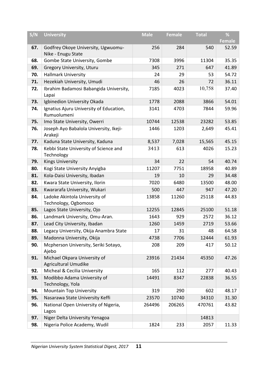| S/N | <b>University</b>                                        | <b>Male</b> | <b>Female</b> | <b>Total</b> | %             |
|-----|----------------------------------------------------------|-------------|---------------|--------------|---------------|
|     |                                                          |             |               |              | <b>Female</b> |
| 67. | Godfrey Okoye University, Ugwuomu-<br>Nike - Enugu State | 256         | 284           | 540          | 52.59         |
| 68. | Gombe State University, Gombe                            | 7308        | 3996          | 11304        | 35.35         |
| 69. | <b>Gregory University, Uturu</b>                         | 345         | 271           | 647          | 41.89         |
| 70. | <b>Hallmark University</b>                               | 24          | 29            | 53           | 54.72         |
| 71. | Hezekiah University, Umudi                               | 46          | 26            | 72           | 36.11         |
| 72. | Ibrahim Badamosi Babangida University,<br>Lapai          | 7185        | 4023          | 10,758       | 37.40         |
| 73. | Igbinedion University Okada                              | 1778        | 2088          | 3866         | 54.01         |
| 74. | Ignatius Ajuru University of Education,<br>Rumuolumeni   | 3141        | 4703          | 7844         | 59.96         |
| 75. | Imo State University, Owerri                             | 10744       | 12538         | 23282        | 53.85         |
| 76. | Joseph Ayo Babalola University, Ikeji-<br>Arakeji        | 1446        | 1203          | 2,649        | 45.41         |
| 77. | Kaduna State University, Kaduna                          | 8,537       | 7,028         | 15,565       | 45.15         |
| 78. | Kebbi State University of Science and<br>Technology      | 3413        | 613           | 4026         | 15.23         |
| 79. | <b>Kings University</b>                                  | 34          | 22            | 54           | 40.74         |
| 80. | Kogi State University Anyigba                            | 11207       | 7751          | 18958        | 40.89         |
| 81. | Kola-Daisi University, Ibadan                            | 19          | 10            | 29           | 34.48         |
| 82. | Kwara State University, Ilorin                           | 7020        | 6480          | 13500        | 48.00         |
| 83. | Kwararafa University, Wukari                             | 500         | 447           | 947          | 47.20         |
| 84. | Ladoke Akintola University of<br>Technology, Ogbomoso    | 13858       | 11260         | 25118        | 44.83         |
| 85. | Lagos State University, Ojo                              | 12255       | 12845         | 25100        | 51.18         |
| 86. | Landmark University, Omu-Aran.                           | 1643        | 929           | 2572         | 36.12         |
| 87. | Lead City University, Ibadan                             | 1260        | 1459          | 2719         | 53.66         |
| 88. | Legacy University, Okija Anambra State                   | 17          | 31            | 48           | 64.58         |
| 89. | Madonna University, Okija                                | 4738        | 7706          | 12444        | 61.93         |
| 90. | Mcpherson University, Seriki Sotayo,<br>Ajebo            | 208         | 209           | 417          | 50.12         |
| 91. | Michael Okpara University of<br>Agricultural Umudike     | 23916       | 21434         | 45350        | 47.26         |
| 92. | Micheal & Cecilia University                             | 165         | 112           | 277          | 40.43         |
| 93. | Modibbo Adama University of<br>Technology, Yola          | 14491       | 8347          | 22838        | 36.55         |
| 94. | <b>Mountain Top University</b>                           | 319         | 290           | 602          | 48.17         |
| 95. | Nasarawa State University Keffi                          | 23570       | 10740         | 34310        | 31.30         |
| 96. | National Open University of Nigeria,<br>Lagos            | 264496      | 206265        | 470761       | 43.82         |
| 97. | Niger Delta University Yenagoa                           |             |               | 14813        |               |
| 98. | Nigeria Police Academy, Wudil                            | 1824        | 233           | 2057         | 11.33         |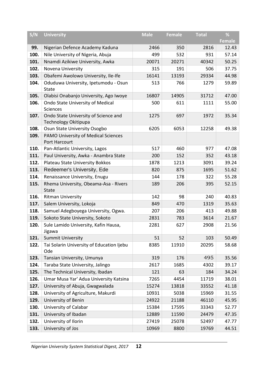| S/N  | <b>University</b>                                                   | <b>Male</b> | <b>Female</b> | <b>Total</b> | %             |
|------|---------------------------------------------------------------------|-------------|---------------|--------------|---------------|
|      |                                                                     |             |               |              | <b>Female</b> |
| 99.  | Nigerian Defence Academy Kaduna                                     | 2466        | 350           | 2816         | 12.43         |
| 100. | Nile University of Nigeria, Abuja                                   | 499         | 532           | 931          | 57.14         |
| 101. | Nnamdi Azikiwe University, Awka                                     | 20071       | 20271         | 40342        | 50.25         |
| 102. | Novena University                                                   | 315         | 191           | 506          | 37.75         |
| 103. | Obafemi Awolowo University, Ile-Ife                                 | 16141       | 13193         | 29334        | 44.98         |
| 104. | Oduduwa University, Ipetumodu - Osun<br><b>State</b>                | 513         | 766           | 1279         | 59.89         |
| 105. | Olabisi Onabanjo University, Ago Iwoye                              | 16807       | 14905         | 31712        | 47.00         |
| 106. | Ondo State University of Medical<br>Sciences                        | 500         | 611           | 1111         | 55.00         |
| 107. | Ondo State University of Science and<br><b>Technology Okitipupa</b> | 1275        | 697           | 1972         | 35.34         |
| 108. | Osun State University Osogbo                                        | 6205        | 6053          | 12258        | 49.38         |
| 109. | PAMO University of Medical Sciences<br>Port Harcourt                |             |               |              |               |
| 110. | Pan-Atlantic University, Lagos                                      | 517         | 460           | 977          | 47.08         |
| 111. | Paul University, Awka - Anambra State                               | 200         | 152           | 352          | 43.18         |
| 112. | Plateau State University Bokkos                                     | 1878        | 1213          | 3091         | 39.24         |
| 113. | Redeemer's University, Ede                                          | 820         | 875           | 1695         | 51.62         |
| 114. | Renaissance University, Enugu                                       | 144         | 178           | 322          | 55.28         |
| 115. | Rhema University, Obeama-Asa - Rivers<br><b>State</b>               | 189         | 206           | 395          | 52.15         |
| 116. | <b>Ritman University</b>                                            | 142         | 98            | 240          | 40.83         |
| 117. | Salem University, Lokoja                                            | 849         | 470           | 1319         | 35.63         |
| 118. | Samuel Adegboyega University, Ogwa.                                 | 207         | 206           | 413          | 49.88         |
| 119. | Sokoto State University, Sokoto                                     | 2831        | 783           | 3614         | 21.67         |
| 120. | Sule Lamido University, Kafin Hausa,<br>Jigawa                      | 2281        | 627           | 2908         | 21.56         |
| 121. | <b>Summit University</b>                                            | 51          | 52            | 103          | 50.49         |
| 122. | Tai Solarin University of Education Ijebu<br>Ode                    | 8385        | 11910         | 20295        | 58.68         |
| 123. | Tansian University, Umunya                                          | 319         | 176           | 495          | 35.56         |
| 124. | Taraba State University, Jalingo                                    | 2617        | 1685          | 4302         | 39.17         |
| 125. | The Technical University, Ibadan                                    | 121         | 63            | 184          | 34.24         |
| 126. | Umar Musa Yar' Adua University Katsina                              | 7265        | 4454          | 11719        | 38.01         |
| 127. | University of Abuja, Gwagwalada                                     | 15274       | 13818         | 33552        | 41.18         |
| 128. | University of Agriculture, Makurdi                                  | 10931       | 5038          | 15969        | 31.55         |
| 129. | University of Benin                                                 | 24922       | 21188         | 46110        | 45.95         |
| 130. | University of Calabar                                               | 15384       | 17595         | 33343        | 52.77         |
| 131. | University of Ibadan                                                | 12889       | 11590         | 24479        | 47.35         |
| 132. | University of Ilorin                                                | 27419       | 25078         | 52497        | 47.77         |
| 133. | University of Jos                                                   | 10969       | 8800          | 19769        | 44.51         |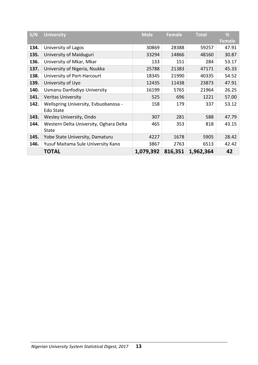| S/N  | <b>University</b>                                 | <b>Male</b> | <b>Female</b> | <b>Total</b> | %      |
|------|---------------------------------------------------|-------------|---------------|--------------|--------|
|      |                                                   |             |               |              | Female |
| 134. | University of Lagos                               | 30869       | 28388         | 59257        | 47.91  |
| 135. | University of Maiduguri                           | 33294       | 14866         | 48160        | 30.87  |
| 136. | University of Mkar, Mkar                          | 133         | 151           | 284          | 53.17  |
| 137. | University of Nigeria, Nsukka                     | 25788       | 21383         | 47171        | 45.33  |
| 138. | University of Port-Harcourt                       | 18345       | 21990         | 40335        | 54.52  |
| 139. | University of Uyo                                 | 12435       | 11438         | 23873        | 47.91  |
| 140. | Usmanu Danfodiyo University                       | 16199       | 5765          | 21964        | 26.25  |
| 141. | <b>Veritas University</b>                         | 525         | 696           | 1221         | 57.00  |
| 142. | Wellspring University, Evbuobanosa -<br>Edo State | 158         | 179           | 337          | 53.12  |
| 143. | Wesley University, Ondo                           | 307         | 281           | 588          | 47.79  |
| 144. | Western Delta University, Oghara Delta<br>State   | 465         | 353           | 818          | 43.15  |
| 145. | Yobe State University, Damaturu                   | 4227        | 1678          | 5905         | 28.42  |
| 146. | Yusuf Maitama Sule University Kano                | 3867        | 2763          | 6513         | 42.42  |
|      | <b>TOTAL</b>                                      | 1,079,392   | 816,351       | 1,962,364    | 42     |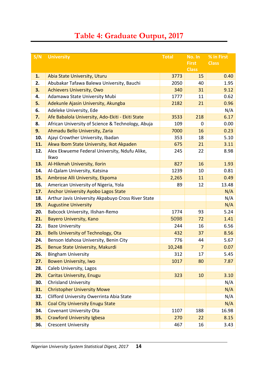### **Table 4: Graduate Output, 2017**

<span id="page-23-0"></span>

| S/N | <b>University</b>                                     | <b>Total</b> | No. In             | % in First   |
|-----|-------------------------------------------------------|--------------|--------------------|--------------|
|     |                                                       |              | <b>First</b>       | <b>Class</b> |
| 1.  | Abia State University, Uturu                          | 3773         | <b>Class</b><br>15 | 0.40         |
| 2.  | Abubakar Tafawa Balewa University, Bauchi             | 2050         | 40                 | 1.95         |
| 3.  | <b>Achievers University, Owo</b>                      | 340          | 31                 | 9.12         |
| 4.  | Adamawa State University Mubi                         | 1777         | 11                 | 0.62         |
| 5.  | Adekunle Ajasin University, Akungba                   | 2182         | 21                 | 0.96         |
| 6.  | Adeleke University, Ede                               |              |                    | N/A          |
| 7.  | Afe Babalola University, Ado-Ekiti - Ekiti State      | 3533         | 218                | 6.17         |
| 8.  | African University of Science & Technology, Abuja     | 109          | 0                  | 0.00         |
| 9.  | Ahmadu Bello University, Zaria                        | 7000         | 16                 | 0.23         |
| 10. | Ajayi Crowther University, Ibadan                     | 353          | 18                 | 5.10         |
| 11. | Akwa Ibom State University, Ikot Akpaden              | 675          | 21                 | 3.11         |
| 12. | Alex Ekwueme Federal University, Ndufu Alike,<br>Ikwo | 245          | 22                 | 8.98         |
| 13. | Al-Hikmah University, Ilorin                          | 827          | 16                 | 1.93         |
| 14. | Al-Qalam University, Katsina                          | 1239         | 10                 | 0.81         |
| 15. | Ambrose Alli University, Ekpoma                       | 2,265        | 11                 | 0.49         |
| 16. | American University of Nigeria, Yola                  | 89           | 12                 | 13.48        |
| 17. | <b>Anchor University Ayobo Lagos State</b>            |              |                    | N/A          |
| 18. | Arthur Javis University Akpabuyo Cross River State    |              |                    | N/A          |
| 19. | <b>Augustine University</b>                           |              |                    | N/A          |
| 20. | Babcock University, Ilishan-Remo                      | 1774         | 93                 | 5.24         |
| 21. | <b>Bayero University, Kano</b>                        | 5098         | 72                 | 1.41         |
| 22. | <b>Baze University</b>                                | 244          | 16                 | 6.56         |
| 23. | Bells University of Technology, Ota                   | 432          | 37                 | 8.56         |
| 24. | Benson Idahosa University, Benin City                 | 776          | 44                 | 5.67         |
| 25. | Benue State University, Makurdi                       | 10,248       | $\overline{7}$     | 0.07         |
| 26. | <b>Bingham University</b>                             | 312          | 17                 | 5.45         |
| 27. | <b>Bowen University, Iwo</b>                          | 1017         | 80                 | 7.87         |
| 28. | Caleb University, Lagos                               |              |                    |              |
| 29. | <b>Caritas University, Enugu</b>                      | 323          | 10                 | 3.10         |
| 30. | <b>Chrisland University</b>                           |              |                    | N/A          |
| 31. | <b>Christopher University Mowe</b>                    |              |                    | N/A          |
| 32. | Clifford University Owerrinta Abia State              |              |                    | N/A          |
| 33. | <b>Coal City University Enugu State</b>               |              |                    | N/A          |
| 34. | <b>Covenant University Ota</b>                        | 1107         | 188                | 16.98        |
| 35. | <b>Crawford University Igbesa</b>                     | 270          | 22                 | 8.15         |
| 36. | <b>Crescent University</b>                            | 467          | 16                 | 3.43         |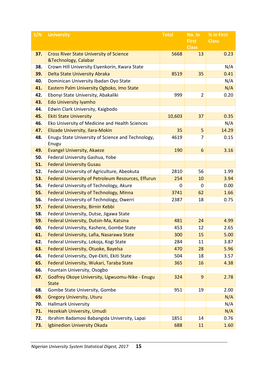| S/N | <b>University</b>                                              | <b>Total</b> | No. In         | % in First   |
|-----|----------------------------------------------------------------|--------------|----------------|--------------|
|     |                                                                |              | <b>First</b>   | <b>Class</b> |
|     |                                                                |              | <b>Class</b>   |              |
| 37. | <b>Cross River State University of Science</b>                 | 5668         | 13             | 0.23         |
|     | &Technology, Calabar                                           |              |                |              |
| 38. | Crown Hill University Eiyenkorin, Kwara State                  |              |                | N/A          |
| 39. | Delta State University Abraka                                  | 8519         | 35             | 0.41         |
| 40. | Dominican University Ibadan Oyo State                          |              |                | N/A          |
| 41. | Eastern Palm University Ogboko, Imo State                      |              |                | N/A          |
| 42. | Ebonyi State University, Abakaliki                             | 999          | $\overline{2}$ | 0.20         |
| 43. | <b>Edo University Iyamho</b>                                   |              |                |              |
| 44. | Edwin Clark University, Kaigbodo                               |              |                |              |
| 45. | <b>Ekiti State University</b>                                  | 10,603       | 37             | 0.35         |
| 46. | Eko University of Medicine and Health Sciences                 |              |                | N/A          |
| 47. | Elizade University, Ilara-Mokin                                | 35           | 5              | 14.29        |
| 48. | Enugu State University of Science and Technology,<br>Enugu     | 4619         | 7              | 0.15         |
| 49. | <b>Evangel University, Akaeze</b>                              | 190          | 6              | 3.16         |
| 50. | Federal University Gashua, Yobe                                |              |                |              |
| 51. | <b>Federal University Gusau</b>                                |              |                |              |
| 52. | Federal University of Agriculture, Abeokuta                    | 2810         | 56             | 1.99         |
| 53. | Federal University of Petroleum Resources, Effurun             | 254          | 10             | 3.94         |
| 54. | Federal University of Technology, Akure                        | 0            | 0              | 0.00         |
| 55. | Federal University of Technology, Minna                        | 3741         | 62             | 1.66         |
| 56. | Federal University of Technology, Owerri                       | 2387         | 18             | 0.75         |
| 57. | Federal University, Birnin Kebbi                               |              |                |              |
| 58. | Federal University, Dutse, Jigawa State                        |              |                |              |
| 59. | Federal University, Dutsin-Ma, Katsina                         | 481          | 24             | 4.99         |
| 60. | Federal University, Kashere, Gombe State                       | 453          | 12             | 2.65         |
| 61. | Federal University, Lafia, Nasarawa State                      | 300          | 15             | 5.00         |
| 62. | Federal University, Lokoja, Kogi State                         | 284          | 11             | 3.87         |
| 63. | Federal University, Otuoke, Bayelsa                            | 470          | 28             | 5.96         |
| 64. | Federal University, Oye-Ekiti, Ekiti State                     | 504          | 18             | 3.57         |
| 65. | Federal University, Wukari, Taraba State                       | 365          | 16             | 4.38         |
| 66. | Fountain University, Osogbo                                    |              |                |              |
| 67. | Godfrey Okoye University, Ugwuomu-Nike - Enugu<br><b>State</b> | 324          | 9              | 2.78         |
| 68. | Gombe State University, Gombe                                  | 951          | 19             | 2.00         |
| 69. | <b>Gregory University, Uturu</b>                               |              |                | N/A          |
| 70. | <b>Hallmark University</b>                                     |              |                | N/A          |
| 71. | Hezekiah University, Umudi                                     |              |                | N/A          |
| 72. | Ibrahim Badamosi Babangida University, Lapai                   | 1851         | 14             | 0.76         |
| 73. | Igbinedion University Okada                                    | 688          | 11             | 1.60         |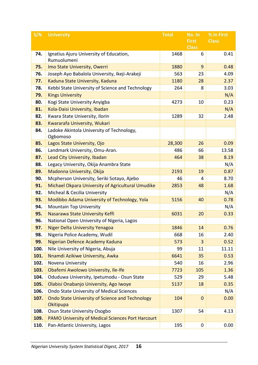| S/N  | <b>University</b>                                      | <b>Total</b> | No. In       | % in First   |
|------|--------------------------------------------------------|--------------|--------------|--------------|
|      |                                                        |              | <b>First</b> | <b>Class</b> |
|      |                                                        |              | <b>Class</b> |              |
| 74.  | Ignatius Ajuru University of Education,<br>Rumuolumeni | 1468         | 6            | 0.41         |
| 75.  | Imo State University, Owerri                           | 1880         | 9            | 0.48         |
| 76.  | Joseph Ayo Babalola University, Ikeji-Arakeji          | 563          | 23           | 4.09         |
| 77.  | Kaduna State University, Kaduna                        | 1180         | 28           | 2.37         |
| 78.  | Kebbi State University of Science and Technology       | 264          | 8            | 3.03         |
| 79.  | <b>Kings University</b>                                |              |              | N/A          |
| 80.  | Kogi State University Anyigba                          | 4273         | 10           | 0.23         |
| 81.  | Kola-Daisi University, Ibadan                          |              |              | N/A          |
| 82.  | Kwara State University, Ilorin                         | 1289         | 32           | 2.48         |
| 83.  | Kwararafa University, Wukari                           |              |              |              |
| 84.  | Ladoke Akintola University of Technology,<br>Ogbomoso  |              |              |              |
| 85.  | Lagos State University, Ojo                            | 28,300       | 26           | 0.09         |
| 86.  | Landmark University, Omu-Aran.                         | 486          | 66           | 13.58        |
| 87.  | Lead City University, Ibadan                           | 464          | 38           | 8.19         |
| 88.  | Legacy University, Okija Anambra State                 |              |              | N/A          |
| 89.  | Madonna University, Okija                              | 2193         | 19           | 0.87         |
| 90.  | Mcpherson University, Seriki Sotayo, Ajebo             | 46           | 4            | 8.70         |
| 91.  | Michael Okpara University of Agricultural Umudike      | 2853         | 48           | 1.68         |
| 92.  | Micheal & Cecilia University                           |              |              | N/A          |
| 93.  | Modibbo Adama University of Technology, Yola           | 5156         | 40           | 0.78         |
| 94.  | <b>Mountain Top University</b>                         |              |              | N/A          |
| 95.  | Nasarawa State University Keffi                        | 6031         | 20           | 0.33         |
| 96.  | National Open University of Nigeria, Lagos             |              |              |              |
| 97.  | <b>Niger Delta University Yenagoa</b>                  | 1846         | 14           | 0.76         |
| 98.  | Nigeria Police Academy, Wudil                          | 668          | 16           | 2.40         |
| 99.  | Nigerian Defence Academy Kaduna                        | 573          | 3            | 0.52         |
| 100. | Nile University of Nigeria, Abuja                      | 99           | 11           | 11.11        |
| 101. | Nnamdi Azikiwe University, Awka                        | 6641         | 35           | 0.53         |
| 102. | Novena University                                      | 540          | 16           | 2.96         |
| 103. | Obafemi Awolowo University, Ile-Ife                    | 7723         | 105          | 1.36         |
| 104. | Oduduwa University, Ipetumodu - Osun State             | 529          | 29           | 5.48         |
| 105. | Olabisi Onabanjo University, Ago Iwoye                 | 5137         | 18           | 0.35         |
| 106. | Ondo State University of Medical Sciences              |              |              | N/A          |
| 107. | <b>Ondo State University of Science and Technology</b> | 104          | $\mathbf 0$  | 0.00         |
|      | Okitipupa                                              |              |              |              |
| 108. | Osun State University Osogbo                           | 1307         | 54           | 4.13         |
| 109. | PAMO University of Medical Sciences Port Harcourt      |              |              |              |
| 110. | Pan-Atlantic University, Lagos                         | 195          | 0            | 0.00         |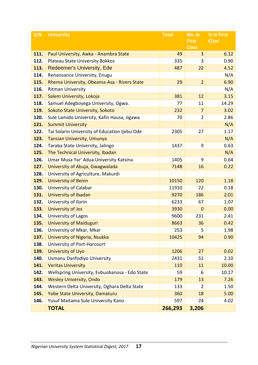| S/N  | <b>University</b>                              | <b>Total</b> | No. In            | % in First   |
|------|------------------------------------------------|--------------|-------------------|--------------|
|      |                                                |              | <b>First</b>      | <b>Class</b> |
| 111. | Paul University, Awka - Anambra State          | 49           | <b>Class</b><br>3 | 6.12         |
| 112. | Plateau State University Bokkos                | 335          | 3                 | 0.90         |
| 113. | <b>Redeemer's University, Ede</b>              | 487          | 22                | 4.52         |
| 114. | Renaissance University, Enugu                  |              |                   | N/A          |
| 115. | Rhema University, Obeama-Asa - Rivers State    | 29           | $\overline{2}$    | 6.90         |
| 116. | <b>Ritman University</b>                       |              |                   | N/A          |
| 117. | Salem University, Lokoja                       | 381          | 12                | 3.15         |
| 118. | Samuel Adegboyega University, Ogwa.            | 77           | 11                | 14.29        |
| 119. | Sokoto State University, Sokoto                | 232          | $\overline{7}$    | 3.02         |
| 120. | Sule Lamido University, Kafin Hausa, Jigawa    | 70           | $\overline{2}$    | 2.86         |
| 121. | <b>Summit University</b>                       |              |                   | N/A          |
| 122. | Tai Solarin University of Education Ijebu Ode  | 2305         | 27                | 1.17         |
| 123. | <b>Tansian University, Umunya</b>              |              |                   | N/A          |
| 124. | Taraba State University, Jalingo               | 1437         | 9                 | 0.63         |
| 125. | The Technical University, Ibadan               |              |                   | N/A          |
| 126. | Umar Musa Yar' Adua University Katsina         | 1405         | 9                 | 0.64         |
| 127. | University of Abuja, Gwagwalada                | 7148         | 16                | 0.22         |
| 128. | University of Agriculture, Makurdi             |              |                   |              |
| 129. | <b>University of Benin</b>                     | 10150        | 120               | 1.18         |
| 130. | University of Calabar                          | 11910        | 22                | 0.18         |
| 131. | <b>University of Ibadan</b>                    | 9270         | 186               | 2.01         |
| 132. | University of Ilorin                           | 6233         | 67                | 1.07         |
| 133. | <b>University of Jos</b>                       | 3930         | $\mathbf 0$       | 0.00         |
| 134. | University of Lagos                            | 9600         | 231               | 2.41         |
| 135. | <b>University of Maiduguri</b>                 | 8663         | 36                | 0.42         |
| 136. | University of Mkar, Mkar                       | 253          | 5                 | 1.98         |
| 137. | University of Nigeria, Nsukka                  | 10425        | 94                | 0.90         |
| 138. | University of Port-Harcourt                    |              |                   |              |
| 139. | <b>University of Uyo</b>                       | 1206         | 27                | 0.02         |
| 140. | Usmanu Danfodiyo University                    | 2431         | 51                | 2.10         |
| 141. | <b>Veritas University</b>                      | 110          | 11                | 10.00        |
| 142. | Wellspring University, Evbuobanosa - Edo State | 59           | 6                 | 10.17        |
| 143. | <b>Wesley University, Ondo</b>                 | 179          | 13                | 7.26         |
| 144. | Western Delta University, Oghara Delta State   | 133          | 2                 | 1.50         |
| 145. | Yobe State University, Damaturu                | 360          | 18                | 5.00         |
| 146. | Yusuf Maitama Sule University Kano             | 597          | 24                | 4.02         |
|      | <b>TOTAL</b>                                   | 266,293      | 3,206             |              |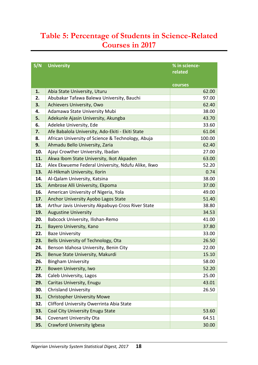### <span id="page-27-0"></span>**Table 5: Percentage of Students in Science-Related Courses in 2017**

| S/N | <b>University</b>                                  | % in science- |
|-----|----------------------------------------------------|---------------|
|     |                                                    | related       |
|     |                                                    | courses       |
| 1.  | Abia State University, Uturu                       | 62.00         |
| 2.  | Abubakar Tafawa Balewa University, Bauchi          | 97.00         |
| 3.  | <b>Achievers University, Owo</b>                   | 62.40         |
| 4.  | Adamawa State University Mubi                      | 38.00         |
| 5.  | Adekunle Ajasin University, Akungba                | 43.70         |
| 6.  | Adeleke University, Ede                            | 33.60         |
| 7.  | Afe Babalola University, Ado-Ekiti - Ekiti State   | 61.04         |
| 8.  | African University of Science & Technology, Abuja  | 100.00        |
| 9.  | Ahmadu Bello University, Zaria                     | 62.40         |
| 10. | Ajayi Crowther University, Ibadan                  | 27.00         |
| 11. | Akwa Ibom State University, Ikot Akpaden           | 63.00         |
| 12. | Alex Ekwueme Federal University, Ndufu Alike, Ikwo | 52.20         |
| 13. | Al-Hikmah University, Ilorin                       | 0.74          |
| 14. | Al-Qalam University, Katsina                       | 38.00         |
| 15. | Ambrose Alli University, Ekpoma                    | 37.00         |
| 16. | American University of Nigeria, Yola               | 49.00         |
| 17. | Anchor University Ayobo Lagos State                | 51.40         |
| 18. | Arthur Javis University Akpabuyo Cross River State | 38.80         |
| 19. | <b>Augustine University</b>                        | 34.53         |
| 20. | Babcock University, Ilishan-Remo                   | 41.00         |
| 21. | Bayero University, Kano                            | 37.80         |
| 22. | <b>Baze University</b>                             | 33.00         |
| 23. | Bells University of Technology, Ota                | 26.50         |
| 24. | Benson Idahosa University, Benin City              | 22.00         |
| 25. | Benue State University, Makurdi                    | 15.10         |
| 26. | <b>Bingham University</b>                          | 58.00         |
| 27. | Bowen University, Iwo                              | 52.20         |
| 28. | Caleb University, Lagos                            | 25.00         |
| 29. | Caritas University, Enugu                          | 43.01         |
| 30. | <b>Chrisland University</b>                        | 26.50         |
| 31. | <b>Christopher University Mowe</b>                 |               |
| 32. | Clifford University Owerrinta Abia State           |               |
| 33. | <b>Coal City University Enugu State</b>            | 53.60         |
| 34. | <b>Covenant University Ota</b>                     | 64.51         |
| 35. | <b>Crawford University Igbesa</b>                  | 30.00         |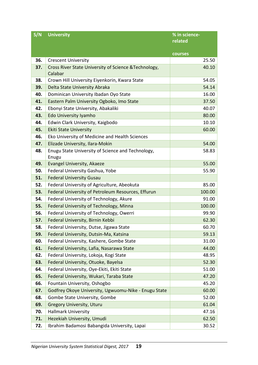| S/N | <b>University</b>                                        | % in science- |
|-----|----------------------------------------------------------|---------------|
|     |                                                          | related       |
|     |                                                          |               |
|     |                                                          | courses       |
| 36. | <b>Crescent University</b>                               | 25.50         |
| 37. | Cross River State University of Science & Technology,    | 40.10         |
| 38. | Calabar<br>Crown Hill University Eiyenkorin, Kwara State | 54.05         |
| 39. | Delta State University Abraka                            | 54.14         |
| 40. | Dominican University Ibadan Oyo State                    | 16.00         |
| 41. | Eastern Palm University Ogboko, Imo State                | 37.50         |
| 42. | Ebonyi State University, Abakaliki                       | 40.07         |
| 43. | Edo University Iyamho                                    | 80.00         |
| 44. | Edwin Clark University, Kaigbodo                         | 10.10         |
| 45. | <b>Ekiti State University</b>                            | 60.00         |
| 46. | Eko University of Medicine and Health Sciences           |               |
| 47. | Elizade University, Ilara-Mokin                          | 54.00         |
| 48. | Enugu State University of Science and Technology,        | 58.83         |
|     | Enugu                                                    |               |
| 49. | Evangel University, Akaeze                               | 55.00         |
| 50. | Federal University Gashua, Yobe                          | 55.90         |
| 51. | <b>Federal University Gusau</b>                          |               |
| 52. | Federal University of Agriculture, Abeokuta              | 85.00         |
| 53. | Federal University of Petroleum Resources, Effurun       | 100.00        |
| 54. | Federal University of Technology, Akure                  | 91.00         |
| 55. | Federal University of Technology, Minna                  | 100.00        |
| 56. | Federal University of Technology, Owerri                 | 99.90         |
| 57. | Federal University, Birnin Kebbi                         | 62.30         |
| 58. | Federal University, Dutse, Jigawa State                  | 60.70         |
| 59. | Federal University, Dutsin-Ma, Katsina                   | 59.13         |
| 60. | Federal University, Kashere, Gombe State                 | 31.00         |
| 61. | Federal University, Lafia, Nasarawa State                | 44.00         |
| 62. | Federal University, Lokoja, Kogi State                   | 48.95         |
| 63. | Federal University, Otuoke, Bayelsa                      | 52.30         |
| 64. | Federal University, Oye-Ekiti, Ekiti State               | 51.00         |
| 65. | Federal University, Wukari, Taraba State                 | 47.20         |
| 66. | Fountain University, Oshogbo                             | 45.20         |
| 67. | Godfrey Okoye University, Ugwuomu-Nike - Enugu State     | 60.00         |
| 68. | Gombe State University, Gombe                            | 52.00         |
| 69. | <b>Gregory University, Uturu</b>                         | 61.04         |
| 70. | <b>Hallmark University</b>                               | 47.16         |
| 71. | Hezekiah University, Umudi                               | 62.50         |
| 72. | Ibrahim Badamosi Babangida University, Lapai             | 30.52         |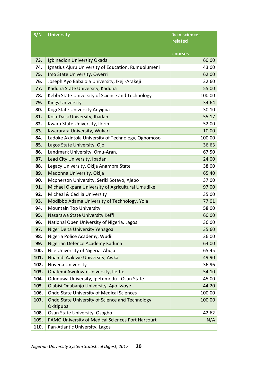| S/N  | <b>University</b>                                   | % in science-    |
|------|-----------------------------------------------------|------------------|
|      |                                                     | related          |
|      |                                                     |                  |
| 73.  | Igbinedion University Okada                         | courses<br>60.00 |
| 74.  | Ignatius Ajuru University of Education, Rumuolumeni | 43.00            |
| 75.  | Imo State University, Owerri                        | 62.00            |
| 76.  | Joseph Ayo Babalola University, Ikeji-Arakeji       | 32.60            |
| 77.  | Kaduna State University, Kaduna                     | 55.00            |
| 78.  | Kebbi State University of Science and Technology    | 100.00           |
| 79.  | <b>Kings University</b>                             | 34.64            |
| 80.  | Kogi State University Anyigba                       | 30.10            |
| 81.  | Kola-Daisi University, Ibadan                       | 55.17            |
| 82.  | Kwara State University, Ilorin                      | 52.00            |
| 83.  | Kwararafa University, Wukari                        | 10.00            |
| 84.  | Ladoke Akintola University of Technology, Ogbomoso  | 100.00           |
| 85.  | Lagos State University, Ojo                         | 36.63            |
| 86.  | Landmark University, Omu-Aran.                      | 67.50            |
| 87.  | Lead City University, Ibadan                        | 24.00            |
| 88.  | Legacy University, Okija Anambra State              | 38.00            |
| 89.  | Madonna University, Okija                           | 65.40            |
| 90.  | Mcpherson University, Seriki Sotayo, Ajebo          | 37.00            |
| 91.  | Michael Okpara University of Agricultural Umudike   | 97.00            |
| 92.  | Micheal & Cecilia University                        | 35.00            |
| 93.  | Modibbo Adama University of Technology, Yola        | 77.01            |
| 94.  | <b>Mountain Top University</b>                      | 58.00            |
| 95.  | Nasarawa State University Keffi                     | 60.00            |
| 96.  | National Open University of Nigeria, Lagos          | 36.00            |
| 97.  | Niger Delta University Yenagoa                      | 35.60            |
| 98.  | Nigeria Police Academy, Wudil                       | 36.00            |
| 99.  | Nigerian Defence Academy Kaduna                     | 64.00            |
| 100. | Nile University of Nigeria, Abuja                   | 65.45            |
| 101. | Nnamdi Azikiwe University, Awka                     | 49.90            |
| 102. | Novena University                                   | 36.96            |
| 103. | Obafemi Awolowo University, Ile-Ife                 | 54.10            |
| 104. | Oduduwa University, Ipetumodu - Osun State          | 45.00            |
| 105. | Olabisi Onabanjo University, Ago Iwoye              | 44.20            |
| 106. | Ondo State University of Medical Sciences           | 100.00           |
| 107. | Ondo State University of Science and Technology     | 100.00           |
|      | Okitipupa                                           |                  |
| 108. | Osun State University, Osogbo                       | 42.62            |
| 109. | PAMO University of Medical Sciences Port Harcourt   | N/A              |
| 110. | Pan-Atlantic University, Lagos                      |                  |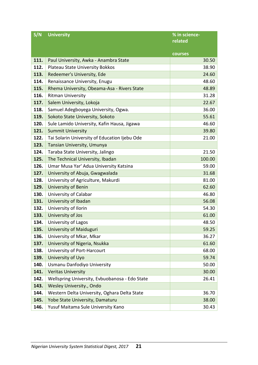| S/N  | <b>University</b>                                                        | % in science-    |
|------|--------------------------------------------------------------------------|------------------|
|      |                                                                          | related          |
|      |                                                                          |                  |
| 111. |                                                                          | courses<br>30.50 |
| 112. | Paul University, Awka - Anambra State<br>Plateau State University Bokkos | 38.90            |
| 113. | Redeemer's University, Ede                                               | 24.60            |
| 114. | Renaissance University, Enugu                                            | 48.60            |
| 115. | Rhema University, Obeama-Asa - Rivers State                              | 48.89            |
| 116. | <b>Ritman University</b>                                                 | 31.28            |
| 117. | Salem University, Lokoja                                                 | 22.67            |
| 118. | Samuel Adegboyega University, Ogwa.                                      | 36.00            |
| 119. | Sokoto State University, Sokoto                                          | 55.61            |
| 120. | Sule Lamido University, Kafin Hausa, Jigawa                              | 46.60            |
| 121. | <b>Summit University</b>                                                 | 39.80            |
| 122. | Tai Solarin University of Education Ijebu Ode                            | 21.00            |
| 123. | Tansian University, Umunya                                               |                  |
| 124. | Taraba State University, Jalingo                                         | 21.50            |
| 125. | The Technical University, Ibadan                                         | 100.00           |
| 126. | Umar Musa Yar' Adua University Katsina                                   | 59.00            |
| 127. | University of Abuja, Gwagwalada                                          | 31.68            |
| 128. | University of Agriculture, Makurdi                                       | 81.00            |
| 129. | University of Benin                                                      | 62.60            |
| 130. | University of Calabar                                                    | 46.80            |
| 131. | University of Ibadan                                                     | 56.08            |
| 132. | University of Ilorin                                                     | 54.30            |
| 133. | University of Jos                                                        | 61.00            |
| 134. | University of Lagos                                                      | 48.50            |
| 135. | <b>University of Maiduguri</b>                                           | 59.25            |
| 136. | University of Mkar, Mkar                                                 | 36.27            |
| 137. | University of Nigeria, Nsukka                                            | 61.60            |
| 138. | University of Port-Harcourt                                              | 68.00            |
| 139. | University of Uyo                                                        | 59.74            |
| 140. | Usmanu Danfodiyo University                                              | 50.00            |
| 141. | <b>Veritas University</b>                                                | 30.00            |
| 142. | Wellspring University, Evbuobanosa - Edo State                           | 26.41            |
| 143. | Wesley University., Ondo                                                 |                  |
| 144. | Western Delta University, Oghara Delta State                             | 36.70            |
| 145. | Yobe State University, Damaturu                                          | 38.00            |
| 146. | Yusuf Maitama Sule University Kano                                       | 30.43            |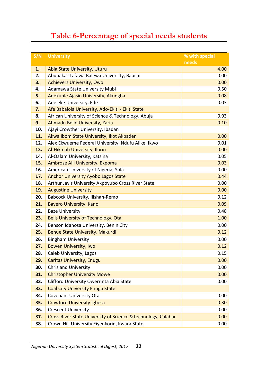### **Table 6-Percentage of special needs students**

<span id="page-31-0"></span>

| S/N        | <b>University</b>                                                             | % with special |              |
|------------|-------------------------------------------------------------------------------|----------------|--------------|
|            |                                                                               | needs          |              |
| 1.         | Abia State University, Uturu                                                  |                | 4.00         |
| 2.         | Abubakar Tafawa Balewa University, Bauchi                                     |                | 0.00         |
| 3.         | <b>Achievers University, Owo</b>                                              |                | 0.00         |
| 4.         | Adamawa State University Mubi                                                 |                | 0.50         |
| 5.         | Adekunle Ajasin University, Akungba                                           |                | 0.08         |
| 6.         | Adeleke University, Ede                                                       |                | 0.03         |
| 7.         | Afe Babalola University, Ado-Ekiti - Ekiti State                              |                |              |
| 8.         | African University of Science & Technology, Abuja                             |                | 0.93<br>0.10 |
| 9.         | Ahmadu Bello University, Zaria                                                |                |              |
| 10.<br>11. | Ajayi Crowther University, Ibadan<br>Akwa Ibom State University, Ikot Akpaden |                | 0.00         |
| 12.        | Alex Ekwueme Federal University, Ndufu Alike, Ikwo                            |                | 0.01         |
| 13.        | Al-Hikmah University, Ilorin                                                  |                | 0.00         |
| 14.        | Al-Qalam University, Katsina                                                  |                | 0.05         |
| 15.        | Ambrose Alli University, Ekpoma                                               |                | 0.03         |
| 16.        | American University of Nigeria, Yola                                          |                | 0.00         |
| 17.        | <b>Anchor University Ayobo Lagos State</b>                                    |                | 0.44         |
| 18.        | Arthur Javis University Akpoyubo Cross River State                            |                | 0.00         |
| 19.        | <b>Augustine University</b>                                                   |                | 0.00         |
| 20.        | Babcock University, Ilishan-Remo                                              |                | 0.12         |
| 21.        | <b>Bayero University, Kano</b>                                                |                | 0.09         |
| 22.        | <b>Baze University</b>                                                        |                | 0.48         |
| 23.        | Bells University of Technology, Ota                                           |                | 1.00         |
| 24.        | Benson Idahosa University, Benin City                                         |                | 0.00         |
| 25.        | Benue State University, Makurdi                                               |                | 0.12         |
| 26.        | <b>Bingham University</b>                                                     |                | 0.00         |
| 27.        | <b>Bowen University, Iwo</b>                                                  |                | 0.12         |
| 28.        | Caleb University, Lagos                                                       |                | 0.15         |
| 29.        | <b>Caritas University, Enugu</b>                                              |                | 0.00         |
| 30.        | <b>Chrisland University</b>                                                   |                | 0.00         |
| 31.        | <b>Christopher University Mowe</b>                                            |                | 0.00         |
| 32.        | Clifford University Owerrinta Abia State                                      |                | 0.00         |
| 33.        | <b>Coal City University Enugu State</b>                                       |                |              |
| 34.        | <b>Covenant University Ota</b>                                                |                | 0.00         |
| 35.        | <b>Crawford University Igbesa</b>                                             |                | 0.30         |
| 36.        | <b>Crescent University</b>                                                    |                | 0.00         |
| 37.        | Cross River State University of Science & Technology, Calabar                 |                | 0.00         |
| 38.        | Crown Hill University Eiyenkorin, Kwara State                                 |                | 0.00         |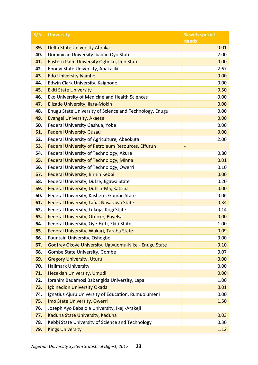| S/N | <b>University</b>                                       | % with special           |
|-----|---------------------------------------------------------|--------------------------|
|     |                                                         | needs                    |
| 39. | Delta State University Abraka                           | 0.01                     |
| 40. | Dominican University Ibadan Oyo State                   | 2.00                     |
| 41. | Eastern Palm University Ogboko, Imo State               | 0.00                     |
| 42. | Ebonyi State University, Abakaliki                      | 2.67                     |
| 43. | <b>Edo University Iyamho</b>                            | 0.00                     |
| 44. | Edwin Clark University, Kaigbodo                        | 0.00                     |
| 45. | <b>Ekiti State University</b>                           | 0.50                     |
| 46. | Eko University of Medicine and Health Sciences          | 0.00                     |
| 47. | Elizade University, Ilara-Mokin                         | 0.00                     |
| 48. | Enugu State University of Science and Technology, Enugu | 0.00                     |
| 49. | <b>Evangel University, Akaeze</b>                       | 0.00                     |
| 50. | Federal University Gashua, Yobe                         | 0.00                     |
| 51. | <b>Federal University Gusau</b>                         | 0.00                     |
| 52. | Federal University of Agriculture, Abeokuta             | 2.00                     |
| 53. | Federal University of Petroleum Resources, Effurun      | $\overline{\phantom{a}}$ |
| 54. | Federal University of Technology, Akure                 | 0.80                     |
| 55. | <b>Federal University of Technology, Minna</b>          | 0.01                     |
| 56. | Federal University of Technology, Owerri                | 0.10                     |
| 57. | Federal University, Birnin Kebbi                        | 0.00                     |
| 58. | Federal University, Dutse, Jigawa State                 | 0.20                     |
| 59. | Federal University, Dutsin-Ma, Katsina                  | 0.00                     |
| 60. | Federal University, Kashere, Gombe State                | 0.06                     |
| 61. | Federal University, Lafia, Nasarawa State               | 0.34                     |
| 62. | Federal University, Lokoja, Kogi State                  | 0.14                     |
| 63. | Federal University, Otuoke, Bayelsa                     | 0.00                     |
| 64. | Federal University, Oye-Ekiti, Ekiti State              | 1.00                     |
| 65. | Federal University, Wukari, Taraba State                | 0.09                     |
| 66. | Fountain University, Oshogbo                            | 0.00                     |
| 67. | Godfrey Okoye University, Ugwuomu-Nike - Enugu State    | 0.10                     |
| 68. | Gombe State University, Gombe                           | 0.07                     |
| 69. | <b>Gregory University, Uturu</b>                        | 0.00                     |
| 70. | <b>Hallmark University</b>                              | 0.00                     |
| 71. | Hezekiah University, Umudi                              | 0.00                     |
| 72. | Ibrahim Badamosi Babangida University, Lapai            | 1.00                     |
| 73. | <b>Igbinedion University Okada</b>                      | 0.01                     |
| 74. | Ignatius Ajuru University of Education, Rumuolumeni     | 0.00                     |
| 75. | Imo State University, Owerri                            | 1.50                     |
| 76. | Joseph Ayo Babalola University, Ikeji-Arakeji           |                          |
| 77. | Kaduna State University, Kaduna                         | 0.03                     |
| 78. | Kebbi State University of Science and Technology        | 0.30                     |
| 79. | <b>Kings University</b>                                 | 1.12                     |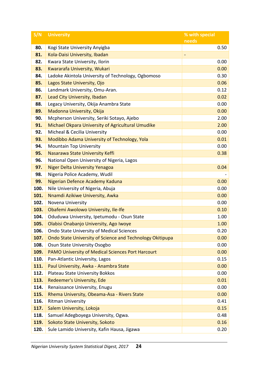| S/N  | <b>University</b>                                         | % with special           |      |
|------|-----------------------------------------------------------|--------------------------|------|
|      |                                                           | needs                    |      |
| 80.  | Kogi State University Anyigba                             |                          | 0.50 |
| 81.  | Kola-Daisi University, Ibadan                             | $\overline{\phantom{0}}$ |      |
| 82.  | Kwara State University, Ilorin                            |                          | 0.00 |
| 83.  | Kwararafa University, Wukari                              |                          | 0.00 |
| 84.  | Ladoke Akintola University of Technology, Ogbomoso        |                          | 0.30 |
| 85.  | Lagos State University, Ojo                               |                          | 0.06 |
| 86.  | Landmark University, Omu-Aran.                            |                          | 0.12 |
| 87.  | Lead City University, Ibadan                              |                          | 0.02 |
| 88.  | Legacy University, Okija Anambra State                    |                          | 0.00 |
| 89.  | Madonna University, Okija                                 |                          | 0.00 |
| 90.  | Mcpherson University, Seriki Sotayo, Ajebo                |                          | 2.00 |
| 91.  | Michael Okpara University of Agricultural Umudike         |                          | 2.00 |
| 92.  | Micheal & Cecilia University                              |                          | 0.00 |
| 93.  | Modibbo Adama University of Technology, Yola              |                          | 0.01 |
| 94.  | <b>Mountain Top University</b>                            |                          | 0.00 |
| 95.  | Nasarawa State University Keffi                           |                          | 0.38 |
| 96.  | National Open University of Nigeria, Lagos                |                          |      |
| 97.  | <b>Niger Delta University Yenagoa</b>                     |                          | 0.04 |
| 98.  | Nigeria Police Academy, Wudil                             |                          |      |
| 99.  | Nigerian Defence Academy Kaduna                           |                          | 0.00 |
| 100. | Nile University of Nigeria, Abuja                         |                          | 0.00 |
| 101. | Nnamdi Azikiwe University, Awka                           |                          | 0.00 |
| 102. | Novena University                                         |                          | 0.00 |
| 103. | Obafemi Awolowo University, Ile-Ife                       |                          | 0.10 |
| 104. | Oduduwa University, Ipetumodu - Osun State                |                          | 1.00 |
| 105. | Olabisi Onabanjo University, Ago Iwoye                    |                          | 1.00 |
| 106. | Ondo State University of Medical Sciences                 |                          | 0.20 |
| 107. | Ondo State University of Science and Technology Okitipupa |                          | 0.00 |
| 108. | Osun State University Osogbo                              |                          | 0.00 |
| 109. | <b>PAMO University of Medical Sciences Port Harcourt</b>  |                          | 0.00 |
| 110. | Pan-Atlantic University, Lagos                            |                          | 0.15 |
| 111. | Paul University, Awka - Anambra State                     |                          | 0.00 |
| 112. | Plateau State University Bokkos                           |                          | 0.00 |
| 113. | Redeemer's University, Ede                                |                          | 0.01 |
| 114. | Renaissance University, Enugu                             |                          | 0.00 |
| 115. | Rhema University, Obeama-Asa - Rivers State               |                          | 0.00 |
| 116. | <b>Ritman University</b>                                  |                          | 0.41 |
| 117. | Salem University, Lokoja                                  |                          | 0.15 |
| 118. | Samuel Adegboyega University, Ogwa.                       |                          | 0.48 |
| 119. | Sokoto State University, Sokoto                           |                          | 0.16 |
| 120. | Sule Lamido University, Kafin Hausa, Jigawa               |                          | 0.20 |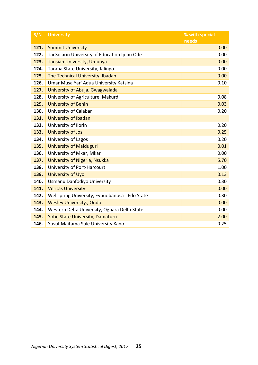| S/N  | <b>University</b>                              | % with special |      |
|------|------------------------------------------------|----------------|------|
|      |                                                | needs          |      |
| 121. | <b>Summit University</b>                       |                | 0.00 |
| 122. | Tai Solarin University of Education Ijebu Ode  |                | 0.00 |
| 123. | <b>Tansian University, Umunya</b>              |                | 0.00 |
| 124. | Taraba State University, Jalingo               |                | 0.00 |
| 125. | The Technical University, Ibadan               |                | 0.00 |
| 126. | Umar Musa Yar' Adua University Katsina         |                | 0.10 |
| 127. | University of Abuja, Gwagwalada                |                |      |
| 128. | University of Agriculture, Makurdi             |                | 0.08 |
| 129. | <b>University of Benin</b>                     |                | 0.03 |
| 130. | University of Calabar                          |                | 0.20 |
| 131. | University of Ibadan                           |                |      |
| 132. | University of Ilorin                           |                | 0.20 |
| 133. | <b>University of Jos</b>                       |                | 0.25 |
| 134. | University of Lagos                            |                | 0.20 |
| 135. | <b>University of Maiduguri</b>                 |                | 0.01 |
| 136. | University of Mkar, Mkar                       |                | 0.00 |
| 137. | University of Nigeria, Nsukka                  |                | 5.70 |
| 138. | University of Port-Harcourt                    |                | 1.00 |
| 139. | <b>University of Uyo</b>                       |                | 0.13 |
| 140. | <b>Usmanu Danfodiyo University</b>             |                | 0.30 |
| 141. | <b>Veritas University</b>                      |                | 0.00 |
| 142. | Wellspring University, Evbuobanosa - Edo State |                | 0.30 |
| 143. | <b>Wesley University., Ondo</b>                |                | 0.00 |
| 144. | Western Delta University, Oghara Delta State   |                | 0.00 |
| 145. | Yobe State University, Damaturu                |                | 2.00 |
| 146. | Yusuf Maitama Sule University Kano             |                | 0.25 |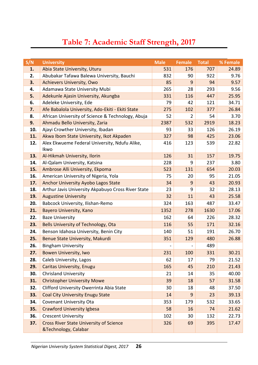### **Table 7: Academic Staff Strength, 2017**

<span id="page-35-0"></span>

| S/N | <b>University</b>                                                      | <b>Male</b> | <b>Female</b>  | <b>Total</b> | % Female |
|-----|------------------------------------------------------------------------|-------------|----------------|--------------|----------|
| 1.  | Abia State University, Uturu                                           | 531         | 176            | 707          | 24.89    |
| 2.  | Abubakar Tafawa Balewa University, Bauchi                              | 832         | 90             | 922          | 9.76     |
| 3.  | <b>Achievers University, Owo</b>                                       | 85          | $\overline{9}$ | 94           | 9.57     |
| 4.  | Adamawa State University Mubi                                          | 265         | 28             | 293          | 9.56     |
| 5.  | Adekunle Ajasin University, Akungba                                    | 331         | 116            | 447          | 25.95    |
| 6.  | Adeleke University, Ede                                                | 79          | 42             | 121          | 34.71    |
| 7.  | Afe Babalola University, Ado-Ekiti - Ekiti State                       | 275         | 102            | 377          | 26.84    |
| 8.  | African University of Science & Technology, Abuja                      | 52          | $\overline{2}$ | 54           | 3.70     |
| 9.  | Ahmadu Bello University, Zaria                                         | 2387        | 532            | 2919         | 18.23    |
| 10. | Ajayi Crowther University, Ibadan                                      | 93          | 33             | 126          | 26.19    |
| 11. | Akwa Ibom State University, Ikot Akpaden                               | 327         | 98             | 425          | 23.06    |
| 12. | Alex Ekwueme Federal University, Ndufu Alike,                          | 416         | 123            | 539          | 22.82    |
|     | Ikwo                                                                   |             |                |              |          |
| 13. | Al-Hikmah University, Ilorin                                           | 126         | 31             | 157          | 19.75    |
| 14. | Al-Qalam University, Katsina                                           | 228         | 9              | 237          | 3.80     |
| 15. | Ambrose Alli University, Ekpoma                                        | 523         | 131            | 654          | 20.03    |
| 16. | American University of Nigeria, Yola                                   | 75          | 20             | 95           | 21.05    |
| 17. | <b>Anchor University Ayobo Lagos State</b>                             | 34          | 9              | 43           | 20.93    |
| 18. | Arthur Javis University Akpabuyo Cross River State                     | 23          | 9              | 32           | 28.13    |
| 19. | <b>Augustine University</b>                                            | 32          | 11             | 43           | 25.58    |
| 20. | Babcock University, Ilishan-Remo                                       | 324         | 163            | 487          | 33.47    |
| 21. | Bayero University, Kano                                                | 1352        | 278            | 1630         | 17.06    |
| 22. | <b>Baze University</b>                                                 | 162         | 64             | 226          | 28.32    |
| 23. | Bells University of Technology, Ota                                    | 116         | 55             | 171          | 32.16    |
| 24. | Benson Idahosa University, Benin City                                  | 140         | 51             | 191          | 26.70    |
| 25. | Benue State University, Makurdi                                        | 351         | 129            | 480          | 26.88    |
| 26. | <b>Bingham University</b>                                              |             |                | 489          |          |
| 27. | <b>Bowen University, Iwo</b>                                           | 231         | 100            | 331          | 30.21    |
| 28. | Caleb University, Lagos                                                | 62          | 17             | 79           | 21.52    |
| 29. | <b>Caritas University, Enugu</b>                                       | 165         | 45             | 210          | 21.43    |
| 30. | <b>Chrisland University</b>                                            | 21          | 14             | 35           | 40.00    |
| 31. | <b>Christopher University Mowe</b>                                     | 39          | 18             | 57           | 31.58    |
| 32. | Clifford University Owerrinta Abia State                               | 30          | 18             | 48           | 37.50    |
| 33. | <b>Coal City University Enugu State</b>                                | 14          | 9              | 23           | 39.13    |
| 34. | <b>Covenant University Ota</b>                                         | 353         | 179            | 532          | 33.65    |
| 35. | <b>Crawford University Igbesa</b>                                      | 58          | 16             | 74           | 21.62    |
| 36. | <b>Crescent University</b>                                             | 102         | 30             | 132          | 22.73    |
| 37. | <b>Cross River State University of Science</b><br>&Technology, Calabar | 326         | 69             | 395          | 17.47    |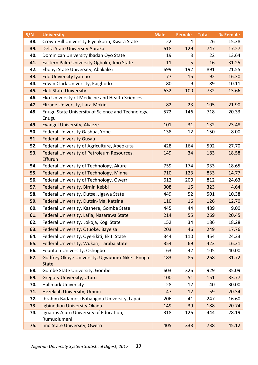| S/N | <b>University</b>                                              | <b>Male</b> | <b>Female</b> | <b>Total</b> | % Female |
|-----|----------------------------------------------------------------|-------------|---------------|--------------|----------|
| 38. | Crown Hill University Eiyenkorin, Kwara State                  | 22          | 4             | 26           | 15.38    |
| 39. | Delta State University Abraka                                  | 618         | 129           | 747          | 17.27    |
| 40. | Dominican University Ibadan Oyo State                          | 19          | 3             | 22           | 13.64    |
| 41. | Eastern Palm University Ogboko, Imo State                      | 11          | 5             | 16           | 31.25    |
| 42. | Ebonyi State University, Abakaliki                             | 699         | 192           | 891          | 21.55    |
| 43. | <b>Edo University Iyamho</b>                                   | 77          | 15            | 92           | 16.30    |
| 44. | Edwin Clark University, Kaigbodo                               | 80          | 9             | 89           | 10.11    |
| 45. | <b>Ekiti State University</b>                                  | 632         | 100           | 732          | 13.66    |
| 46. | Eko University of Medicine and Health Sciences                 |             |               |              |          |
| 47. | Elizade University, Ilara-Mokin                                | 82          | 23            | 105          | 21.90    |
| 48. | Enugu State University of Science and Technology,<br>Enugu     | 572         | 146           | 718          | 20.33    |
| 49. | <b>Evangel University, Akaeze</b>                              | 101         | 31            | 132          | 23.48    |
| 50. | Federal University Gashua, Yobe                                | 138         | 12            | 150          | 8.00     |
| 51. | <b>Federal University Gusau</b>                                |             |               |              |          |
| 52. | Federal University of Agriculture, Abeokuta                    | 428         | 164           | 592          | 27.70    |
| 53. | Federal University of Petroleum Resources,<br>Effurun          | 149         | 34            | 183          | 18.58    |
| 54. | Federal University of Technology, Akure                        | 759         | 174           | 933          | 18.65    |
| 55. | <b>Federal University of Technology, Minna</b>                 | 710         | 123           | 833          | 14.77    |
| 56. | Federal University of Technology, Owerri                       | 612         | 200           | 812          | 24.63    |
| 57. | Federal University, Birnin Kebbi                               | 308         | 15            | 323          | 4.64     |
| 58. | Federal University, Dutse, Jigawa State                        | 449         | 52            | 501          | 10.38    |
| 59. | Federal University, Dutsin-Ma, Katsina                         | 110         | 16            | 126          | 12.70    |
| 60. | Federal University, Kashere, Gombe State                       | 445         | 44            | 489          | 9.00     |
| 61. | Federal University, Lafia, Nasarawa State                      | 214         | 55            | 269          | 20.45    |
| 62. | Federal University, Lokoja, Kogi State                         | 152         | 34            | 186          | 18.28    |
| 63. | Federal University, Otuoke, Bayelsa                            | 203         | 46            | 249          | 17.76    |
| 64. | Federal University, Oye-Ekiti, Ekiti State                     | 344         | 110           | 454          | 24.23    |
| 65. | Federal University, Wukari, Taraba State                       | 354         | 69            | 423          | 16.31    |
| 66. | Fountain University, Oshogbo                                   | 63          | 42            | 105          | 40.00    |
| 67. | Godfrey Okoye University, Ugwuomu-Nike - Enugu<br><b>State</b> | 183         | 85            | 268          | 31.72    |
| 68. | Gombe State University, Gombe                                  | 603         | 326           | 929          | 35.09    |
| 69. | <b>Gregory University, Uturu</b>                               | 100         | 51            | 151          | 33.77    |
| 70. | <b>Hallmark University</b>                                     | 28          | 12            | 40           | 30.00    |
| 71. | Hezekiah University, Umudi                                     | 47          | 12            | 59           | 20.34    |
| 72. | Ibrahim Badamosi Babangida University, Lapai                   | 206         | 41            | 247          | 16.60    |
| 73. | Igbinedion University Okada                                    | 149         | 39            | 188          | 20.74    |
| 74. | Ignatius Ajuru University of Education,<br>Rumuolumeni         | 318         | 126           | 444          | 28.19    |
| 75. | Imo State University, Owerri                                   | 405         | 333           | 738          | 45.12    |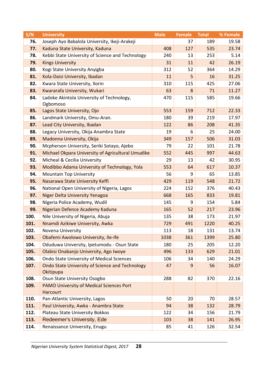| S/N  | <b>University</b>                                                               | <b>Male</b> | <b>Female</b> | <b>Total</b> | % Female |
|------|---------------------------------------------------------------------------------|-------------|---------------|--------------|----------|
| 76.  | Joseph Ayo Babalola University, Ikeji-Arakeji                                   |             | 37            | 189          | 19.58    |
| 77.  | Kaduna State University, Kaduna                                                 | 408         | 127           | 535          | 23.74    |
| 78.  | Kebbi State University of Science and Technology                                | 240         | 13            | 253          | 5.14     |
| 79.  | <b>Kings University</b>                                                         | 31          | 11            | 42           | 26.19    |
| 80.  | Kogi State University Anyigba                                                   | 312         | 52            | 364          | 14.29    |
| 81.  | Kola-Daisi University, Ibadan                                                   | 11          | 5             | 16           | 31.25    |
| 82.  | Kwara State University, Ilorin                                                  | 310         | 115           | 425          | 27.06    |
| 83.  | Kwararafa University, Wukari                                                    | 63          | 8             | 71           | 11.27    |
| 84.  | Ladoke Akintola University of Technology,                                       | 470         | 115           | 585          | 19.66    |
|      | Ogbomoso                                                                        |             |               |              |          |
| 85.  | Lagos State University, Ojo                                                     | 553         | 159           | 712          | 22.33    |
| 86.  | Landmark University, Omu-Aran.                                                  | 180         | 39            | 219          | 17.97    |
| 87.  | Lead City University, Ibadan                                                    | 122         | 86            | 208          | 41.35    |
| 88.  | Legacy University, Okija Anambra State                                          | 19          | 6             | 25           | 24.00    |
| 89.  | Madonna University, Okija                                                       | 349         | 157           | 506          | 31.03    |
| 90.  | Mcpherson University, Seriki Sotayo, Ajebo                                      | 79          | 22            | 101          | 21.78    |
| 91.  | Michael Okpara University of Agricultural Umudike                               | 552         | 445           | 997          | 44.63    |
| 92.  | Micheal & Cecilia University                                                    | 29          | 13            | 42           | 30.95    |
| 93.  | Modibbo Adama University of Technology, Yola                                    | 553         | 64            | 617          | 10.37    |
| 94.  | <b>Mountain Top University</b>                                                  | 56          | 9             | 65           | 13.85    |
| 95.  | Nasarawa State University Keffi                                                 | 429         | 119           | 548          | 21.72    |
| 96.  | National Open University of Nigeria, Lagos                                      | 224         | 152           | 376          | 40.43    |
| 97.  | <b>Niger Delta University Yenagoa</b>                                           | 668         | 165           | 833          | 19.81    |
| 98.  | Nigeria Police Academy, Wudil                                                   | 145         | 9             | 154          | 5.84     |
| 99.  | Nigerian Defence Academy Kaduna                                                 | 165         | 52            | 217          | 23.96    |
| 100. | Nile University of Nigeria, Abuja                                               | 135         | 38            | 173          | 21.97    |
| 101. | Nnamdi Azikiwe University, Awka                                                 | 729         | 491           | 1220         | 40.25    |
| 102. | Novena University                                                               | 113         | 18            | 131          | 13.74    |
| 103. | Obafemi Awolowo University, Ile-Ife                                             | 1038        | 361           | 1399         | 25.80    |
| 104. | Oduduwa University, Ipetumodu - Osun State                                      | 180         | 25            | 205          | 12.20    |
| 105. | Olabisi Onabanjo University, Ago Iwoye                                          | 496         | 133           | 629          | 21.01    |
| 106. | Ondo State University of Medical Sciences                                       | 106         | 34            | 140          | 24.29    |
| 107. | Ondo State University of Science and Technology                                 | 47          | 9             | 56           | 16.07    |
| 108. | Okitipupa                                                                       | 288         | 82            | 370          | 22.16    |
| 109. | Osun State University Osogbo<br><b>PAMO University of Medical Sciences Port</b> |             |               |              |          |
|      | <b>Harcourt</b>                                                                 |             |               |              |          |
| 110. | Pan-Atlantic University, Lagos                                                  | 50          | 20            | 70           | 28.57    |
| 111. | Paul University, Awka - Anambra State                                           | 94          | 38            | 132          | 28.79    |
| 112. | Plateau State University Bokkos                                                 | 122         | 34            | 156          | 21.79    |
| 113. | <b>Redeemer's University, Ede</b>                                               | 103         | 38            | 141          | 26.95    |
| 114. | Renaissance University, Enugu                                                   | 85          | 41            | 126          | 32.54    |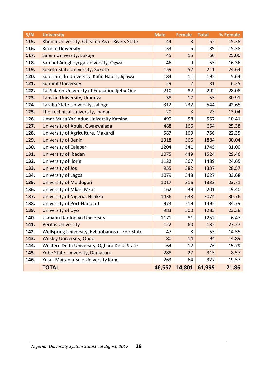| S/N  | <b>University</b>                              | <b>Male</b> | <b>Female</b>  | <b>Total</b> | % Female |
|------|------------------------------------------------|-------------|----------------|--------------|----------|
| 115. | Rhema University, Obeama-Asa - Rivers State    | 44          | 8              | 52           | 15.38    |
| 116. | <b>Ritman University</b>                       | 33          | 6              | 39           | 15.38    |
| 117. | Salem University, Lokoja                       | 45          | 15             | 60           | 25.00    |
| 118. | Samuel Adegboyega University, Ogwa.            | 46          | 9              | 55           | 16.36    |
| 119. | Sokoto State University, Sokoto                | 159         | 52             | 211          | 24.64    |
| 120. | Sule Lamido University, Kafin Hausa, Jigawa    | 184         | 11             | 195          | 5.64     |
| 121. | <b>Summit University</b>                       | 29          | $\overline{2}$ | 31           | 6.25     |
| 122. | Tai Solarin University of Education Ijebu Ode  | 210         | 82             | 292          | 28.08    |
| 123. | Tansian University, Umunya                     | 38          | 17             | 55           | 30.91    |
| 124. | Taraba State University, Jalingo               | 312         | 232            | 544          | 42.65    |
| 125. | The Technical University, Ibadan               | 20          | 3              | 23           | 13.04    |
| 126. | Umar Musa Yar' Adua University Katsina         | 499         | 58             | 557          | 10.41    |
| 127. | University of Abuja, Gwagwalada                | 488         | 166            | 654          | 25.38    |
| 128. | University of Agriculture, Makurdi             | 587         | 169            | 756          | 22.35    |
| 129. | <b>University of Benin</b>                     | 1318        | 566            | 1884         | 30.04    |
| 130. | University of Calabar                          | 1204        | 541            | 1745         | 31.00    |
| 131. | University of Ibadan                           | 1075        | 449            | 1524         | 29.46    |
| 132. | University of Ilorin                           | 1122        | 367            | 1489         | 24.65    |
| 133. | University of Jos                              | 955         | 382            | 1337         | 28.57    |
| 134. | University of Lagos                            | 1079        | 548            | 1627         | 33.68    |
| 135. | <b>University of Maiduguri</b>                 | 1017        | 316            | 1333         | 23.71    |
| 136. | University of Mkar, Mkar                       | 162         | 39             | 201          | 19.40    |
| 137. | University of Nigeria, Nsukka                  | 1436        | 638            | 2074         | 30.76    |
| 138. | University of Port-Harcourt                    | 973         | 519            | 1492         | 34.79    |
| 139. | University of Uyo                              | 983         | 300            | 1283         | 23.38    |
| 140. | Usmanu Danfodiyo University                    | 1171        | 81             | 1252         | 6.47     |
| 141. | <b>Veritas University</b>                      | 122         | 60             | 182          | 27.27    |
| 142. | Wellspring University, Evbuobanosa - Edo State | 47          | 8              | 55           | 14.55    |
| 143. | <b>Wesley University, Ondo</b>                 | 80          | 14             | 94           | 14.89    |
| 144. | Western Delta University, Oghara Delta State   | 64          | 12             | 76           | 15.79    |
| 145. | Yobe State University, Damaturu                | 288         | 27             | 315          | 8.57     |
| 146. | Yusuf Maitama Sule University Kano             | 263         | 64             | 327          | 19.57    |
|      | <b>TOTAL</b>                                   | 46,557      | 14,801         | 61,999       | 21.86    |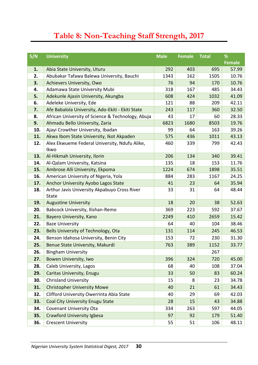### **Table 8: Non-Teaching Staff Strength, 2017**

<span id="page-39-0"></span>

| S/N | <b>University</b>                                 | <b>Male</b> | <b>Female</b> | <b>Total</b> | %             |
|-----|---------------------------------------------------|-------------|---------------|--------------|---------------|
|     |                                                   |             |               |              | <b>Female</b> |
| 1.  | Abia State University, Uturu                      | 292         | 403           | 695          | 57.99         |
| 2.  | Abubakar Tafawa Balewa University, Bauchi         | 1343        | 162           | 1505         | 10.76         |
| 3.  | <b>Achievers University, Owo</b>                  | 76          | 94            | 170          | 10.76         |
| 4.  | Adamawa State University Mubi                     | 318         | 167           | 485          | 34.43         |
| 5.  | Adekunle Ajasin University, Akungba               | 608         | 424           | 1032         | 41.09         |
| 6.  | Adeleke University, Ede                           | 121         | 88            | 209          | 42.11         |
| 7.  | Afe Babalola University, Ado-Ekiti - Ekiti State  | 243         | 117           | 360          | 32.50         |
| 8.  | African University of Science & Technology, Abuja | 43          | 17            | 60           | 28.33         |
| 9.  | Ahmadu Bello University, Zaria                    | 6823        | 1680          | 8503         | 19.76         |
| 10. | Ajayi Crowther University, Ibadan                 | 99          | 64            | 163          | 39.26         |
| 11. | Akwa Ibom State University, Ikot Akpaden          | 575         | 436           | 1011         | 43.13         |
| 12. | Alex Ekwueme Federal University, Ndufu Alike,     | 460         | 339           | 799          | 42.43         |
|     | Ikwo                                              |             |               |              |               |
| 13. | Al-Hikmah University, Ilorin                      | 206         | 134           | 340          | 39.41         |
| 14. | Al-Qalam University, Katsina                      | 135         | 18            | 153          | 11.76         |
| 15. | Ambrose Alli University, Ekpoma                   | 1224        | 674           | 1898         | 35.51         |
| 16. | American University of Nigeria, Yola              | 884         | 283           | 1167         | 24.25         |
| 17. | <b>Anchor University Ayobo Lagos State</b>        | 41          | 23            | 64           | 35.94         |
| 18. | Arthur Javis University Akpabuyo Cross River      | 33          | 31            | 64           | 48.44         |
|     | <b>State</b>                                      |             |               |              |               |
| 19. | <b>Augustine University</b>                       | 18          | 20            | 38           | 52.63         |
| 20. | Babcock University, Ilishan-Remo                  | 369         | 223           | 592          | 37.67         |
| 21. | Bayero University, Kano                           | 2249        | 410           | 2659         | 15.42         |
| 22. | <b>Baze University</b>                            | 64          | 40            | 104          | 38.46         |
| 23. | Bells University of Technology, Ota               | 131         | 114           | 245          | 46.53         |
| 24. | Benson Idahosa University, Benin City             | 153         | 72            | 230          | 31.30         |
| 25. | Benue State University, Makurdi                   | 763         | 389           | 1152         | 33.77         |
| 26. | <b>Bingham University</b>                         |             |               | 267          |               |
| 27. | <b>Bowen University, Iwo</b>                      | 396         | 324           | 720          | 45.00         |
| 28. | Caleb University, Lagos                           | 68          | 40            | 108          | 37.04         |
| 29. | Caritas University, Enugu                         | 33          | 50            | 83           | 60.24         |
| 30. | <b>Chrisland University</b>                       | 15          | 8             | 23           | 34.78         |
| 31. | <b>Christopher University Mowe</b>                | 40          | 21            | 61           | 34.43         |
| 32. | Clifford University Owerrinta Abia State          | 40          | 29            | 69           | 42.03         |
| 33. | <b>Coal City University Enugu State</b>           | 28          | 15            | 43           | 34.88         |
| 34. | <b>Covenant University Ota</b>                    | 334         | 263           | 597          | 44.05         |
| 35. | <b>Crawford University Igbesa</b>                 | 97          | 92            | 179          | 51.40         |
| 36. | <b>Crescent University</b>                        | 55          | 51            | 106          | 48.11         |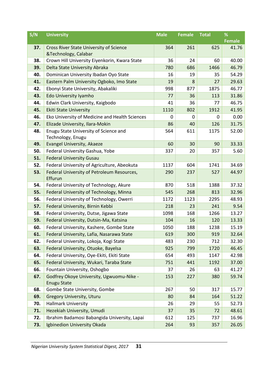| S/N | <b>University</b>                                      | <b>Male</b> | <b>Female</b> | <b>Total</b> | %             |
|-----|--------------------------------------------------------|-------------|---------------|--------------|---------------|
|     |                                                        |             |               |              | <b>Female</b> |
| 37. | <b>Cross River State University of Science</b>         | 364         | 261           | 625          | 41.76         |
|     | &Technology, Calabar                                   |             | 24            |              |               |
| 38. | Crown Hill University Eiyenkorin, Kwara State          | 36          |               | 60           | 40.00         |
| 39. | Delta State University Abraka                          | 780         | 686           | 1466         | 46.79         |
| 40. | Dominican University Ibadan Oyo State                  | 16          | 19            | 35           | 54.29         |
| 41. | Eastern Palm University Ogboko, Imo State              | 19          | 8             | 27           | 29.63         |
| 42. | Ebonyi State University, Abakaliki                     | 998         | 877           | 1875         | 46.77         |
| 43. | <b>Edo University Iyamho</b>                           | 77          | 36            | 113          | 31.86         |
| 44. | Edwin Clark University, Kaigbodo                       | 41          | 36            | 77           | 46.75         |
| 45. | <b>Ekiti State University</b>                          | 1110        | 802           | 1912         | 41.95         |
| 46. | Eko University of Medicine and Health Sciences         | 0           | $\mathbf 0$   | 0            | 0.00          |
| 47. | Elizade University, Ilara-Mokin                        | 86          | 40            | 126          | 31.75         |
| 48. | Enugu State University of Science and                  | 564         | 611           | 1175         | 52.00         |
| 49. | Technology, Enugu<br><b>Evangel University, Akaeze</b> | 60          | 30            | 90           | 33.33         |
| 50. | Federal University Gashua, Yobe                        | 337         | 20            | 357          | 5.60          |
| 51. | <b>Federal University Gusau</b>                        |             |               |              |               |
| 52. | Federal University of Agriculture, Abeokuta            | 1137        | 604           | 1741         | 34.69         |
| 53. | Federal University of Petroleum Resources,             | 290         | 237           | 527          | 44.97         |
|     | Effurun                                                |             |               |              |               |
| 54. | Federal University of Technology, Akure                | 870         | 518           | 1388         | 37.32         |
| 55. | Federal University of Technology, Minna                | 545         | 268           | 813          | 32.96         |
| 56. | Federal University of Technology, Owerri               | 1172        | 1123          | 2295         | 48.93         |
| 57. | Federal University, Birnin Kebbi                       | 218         | 23            | 241          | 9.54          |
| 58. | Federal University, Dutse, Jigawa State                | 1098        | 168           | 1266         | 13.27         |
| 59. | Federal University, Dutsin-Ma, Katsina                 | 104         | 16            | 120          | 13.33         |
| 60. | Federal University, Kashere, Gombe State               | 1050        | 188           | 1238         | 15.19         |
| 61. | Federal University, Lafia, Nasarawa State              | 619         | 300           | 919          | 32.64         |
| 62. | Federal University, Lokoja, Kogi State                 | 483         | 230           | 712          | 32.30         |
| 63. | Federal University, Otuoke, Bayelsa                    | 925         | 799           | 1720         | 46.45         |
| 64. | Federal University, Oye-Ekiti, Ekiti State             | 654         | 493           | 1147         | 42.98         |
| 65. | Federal University, Wukari, Taraba State               | 751         | 441           | 1192         | 37.00         |
| 66. | Fountain University, Oshogbo                           | 37          | 26            | 63           | 41.27         |
| 67. | Godfrey Okoye University, Ugwuomu-Nike -               | 153         | 227           | 380          | 59.74         |
|     | <b>Enugu State</b>                                     |             |               |              |               |
| 68. | Gombe State University, Gombe                          | 267         | 50            | 317          | 15.77         |
| 69. | <b>Gregory University, Uturu</b>                       | 80          | 84            | 164          | 51.22         |
| 70. | <b>Hallmark University</b>                             | 26          | 29            | 55           | 52.73         |
| 71. | Hezekiah University, Umudi                             | 37          | 35            | 72           | 48.61         |
| 72. | Ibrahim Badamosi Babangida University, Lapai           | 612         | 125           | 737          | 16.96         |
| 73. | Igbinedion University Okada                            | 264         | 93            | 357          | 26.05         |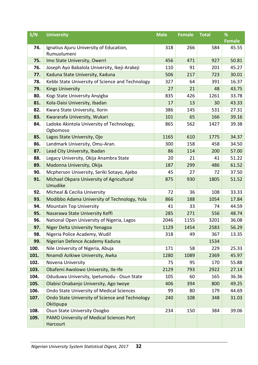| S/N  | <b>University</b>                                            | <b>Male</b> | <b>Female</b> | <b>Total</b> | %             |
|------|--------------------------------------------------------------|-------------|---------------|--------------|---------------|
|      |                                                              |             |               |              | <b>Female</b> |
| 74.  | Ignatius Ajuru University of Education,<br>Rumuolumeni       | 318         | 266           | 584          | 45.55         |
| 75.  | Imo State University, Owerri                                 | 456         | 471           | 927          | 50.81         |
| 76.  | Joseph Ayo Babalola University, Ikeji-Arakeji                | 110         | 91            | 201          | 45.27         |
| 77.  | Kaduna State University, Kaduna                              | 506         | 217           | 723          | 30.01         |
| 78.  | Kebbi State University of Science and Technology             | 327         | 64            | 391          | 16.37         |
| 79.  | <b>Kings University</b>                                      | 27          | 21            | 48           | 43.75         |
| 80.  | Kogi State University Anyigba                                | 835         | 426           | 1261         | 33.78         |
| 81.  | Kola-Daisi University, Ibadan                                | 17          | 13            | 30           | 43.33         |
| 82.  | Kwara State University, Ilorin                               | 386         | 145           | 531          | 27.31         |
| 83.  | Kwararafa University, Wukari                                 | 101         | 65            | 166          | 39.16         |
| 84.  | Ladoke Akintola University of Technology,<br>Ogbomoso        | 865         | 562           | 1427         | 39.38         |
| 85.  | Lagos State University, Ojo                                  | 1165        | 610           | 1775         | 34.37         |
| 86.  | Landmark University, Omu-Aran.                               | 300         | 158           | 458          | 34.50         |
| 87.  | Lead City University, Ibadan                                 | 86          | 114           | 200          | 57.00         |
| 88.  | Legacy University, Okija Anambra State                       | 20          | 21            | 41           | 51.22         |
| 89.  | Madonna University, Okija                                    | 187         | 299           | 486          | 61.52         |
| 90.  | Mcpherson University, Seriki Sotayo, Ajebo                   | 45          | 27            | 72           | 37.50         |
| 91.  | Michael Okpara University of Agricultural                    | 875         | 930           | 1805         | 51.52         |
|      | <b>Umudike</b>                                               |             |               |              |               |
| 92.  | Micheal & Cecilia University                                 | 72          | 36            | 108          | 33.33         |
| 93.  | Modibbo Adama University of Technology, Yola                 | 866         | 188           | 1054         | 17.84         |
| 94.  | <b>Mountain Top University</b>                               | 41          | 33            | 74           | 44.59         |
| 95.  | Nasarawa State University Keffi                              | 285         | 271           | 556          | 48.74         |
| 96.  | National Open University of Nigeria, Lagos                   | 2046        | 1155          | 3201         | 36.08         |
| 97.  | Niger Delta University Yenagoa                               | 1129        | 1454          | 2583         | 56.29         |
| 98.  | Nigeria Police Academy, Wudil                                | 318         | 49            | 367          | 13.35         |
| 99.  | Nigerian Defence Academy Kaduna                              |             |               | 1534         |               |
| 100. | Nile University of Nigeria, Abuja                            | 171         | 58            | 229          | 25.33         |
| 101. | Nnamdi Azikiwe University, Awka                              | 1280        | 1089          | 2369         | 45.97         |
| 102. | Novena University                                            | 75          | 95            | 170          | 55.88         |
| 103. | Obafemi Awolowo University, Ile-Ife                          | 2129        | 793           | 2922         | 27.14         |
| 104. | Oduduwa University, Ipetumodu - Osun State                   | 105         | 60            | 165          | 36.36         |
| 105. | Olabisi Onabanjo University, Ago Iwoye                       | 406         | 394           | 800          | 49.25         |
| 106. | Ondo State University of Medical Sciences                    | 99          | 80            | 179          | 44.69         |
| 107. | Ondo State University of Science and Technology<br>Okitipupa | 240         | 108           | 348          | 31.03         |
| 108. | Osun State University Osogbo                                 | 234         | 150           | 384          | 39.06         |
| 109. | PAMO University of Medical Sciences Port                     |             |               |              |               |
|      | Harcourt                                                     |             |               |              |               |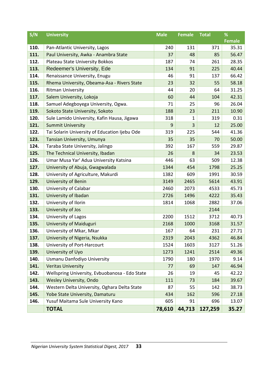| S/N  | <b>University</b>                              | <b>Male</b> | <b>Female</b> | <b>Total</b> | %             |
|------|------------------------------------------------|-------------|---------------|--------------|---------------|
|      |                                                |             |               |              | <b>Female</b> |
| 110. | Pan-Atlantic University, Lagos                 | 240         | 131           | 371          | 35.31         |
| 111. | Paul University, Awka - Anambra State          | 37          | 48            | 85           | 56.47         |
| 112. | Plateau State University Bokkos                | 187         | 74            | 261          | 28.35         |
| 113. | Redeemer's University, Ede                     | 134         | 91            | 225          | 40.44         |
| 114. | Renaissance University, Enugu                  | 46          | 91            | 137          | 66.42         |
| 115. | Rhema University, Obeama-Asa - Rivers State    | 23          | 32            | 55           | 58.18         |
| 116. | <b>Ritman University</b>                       | 44          | 20            | 64           | 31.25         |
| 117. | Salem University, Lokoja                       | 60          | 44            | 104          | 42.31         |
| 118. | Samuel Adegboyega University, Ogwa.            | 71          | 25            | 96           | 26.04         |
| 119. | Sokoto State University, Sokoto                | 188         | 23            | 211          | 10.90         |
| 120. | Sule Lamido University, Kafin Hausa, Jigawa    | 318         | $\mathbf{1}$  | 319          | 0.31          |
| 121. | <b>Summit University</b>                       | 9           | 3             | 12           | 25.00         |
| 122. | Tai Solarin University of Education Ijebu Ode  | 319         | 225           | 544          | 41.36         |
| 123. | Tansian University, Umunya                     | 35          | 35            | 70           | 50.00         |
| 124. | Taraba State University, Jalingo               | 392         | 167           | 559          | 29.87         |
| 125. | The Technical University, Ibadan               | 26          | 8             | 34           | 23.53         |
| 126. | Umar Musa Yar' Adua University Katsina         | 446         | 63            | 509          | 12.38         |
| 127. | University of Abuja, Gwagwalada                | 1344        | 454           | 1798         | 25.25         |
| 128. | University of Agriculture, Makurdi             | 1382        | 609           | 1991         | 30.59         |
| 129. | <b>University of Benin</b>                     | 3149        | 2465          | 5614         | 43.91         |
| 130. | University of Calabar                          | 2460        | 2073          | 4533         | 45.73         |
| 131. | University of Ibadan                           | 2726        | 1496          | 4222         | 35.43         |
| 132. | University of Ilorin                           | 1814        | 1068          | 2882         | 37.06         |
| 133. | University of Jos                              |             |               | 2144         |               |
| 134. | University of Lagos                            | 2200        | 1512          | 3712         | 40.73         |
| 135. | University of Maiduguri                        | 2168        | 1000          | 3168         | 31.57         |
| 136. | University of Mkar, Mkar                       | 167         | 64            | 231          | 27.71         |
| 137. | University of Nigeria, Nsukka                  | 2319        | 2043          | 4362         | 46.84         |
| 138. | University of Port-Harcourt                    | 1524        | 1603          | 3127         | 51.26         |
| 139. | University of Uyo                              | 1273        | 1241          | 2514         | 49.36         |
| 140. | Usmanu Danfodiyo University                    | 1790        | 180           | 1970         | 9.14          |
| 141. | <b>Veritas University</b>                      | 77          | 69            | 147          | 46.94         |
| 142. | Wellspring University, Evbuobanosa - Edo State | 26          | 19            | 45           | 42.22         |
| 143. | <b>Wesley University, Ondo</b>                 | 111         | 73            | 184          | 39.67         |
| 144. | Western Delta University, Oghara Delta State   | 87          | 55            | 142          | 38.73         |
| 145. | Yobe State University, Damaturu                | 434         | 162           | 596          | 27.18         |
| 146. | Yusuf Maitama Sule University Kano             | 605         | 91            | 696          | 13.07         |
|      | <b>TOTAL</b>                                   | 78,610      | 44,713        | 127,259      | 35.27         |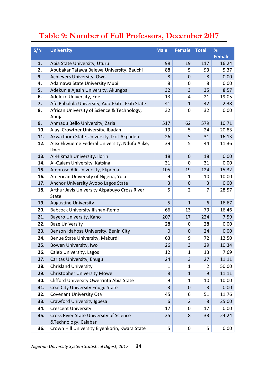### <span id="page-43-0"></span>**Table 9: Number of Full Professors, December 2017**

| S/N | <b>University</b>                                               | <b>Male</b> | <b>Female</b>    | <b>Total</b> | %             |
|-----|-----------------------------------------------------------------|-------------|------------------|--------------|---------------|
|     |                                                                 |             |                  |              | <b>Female</b> |
| 1.  | Abia State University, Uturu                                    | 98          | 19               | 117          | 16.24         |
| 2.  | Abubakar Tafawa Balewa University, Bauchi                       | 88          | 5                | 93           | 5.37          |
| 3.  | Achievers University, Owo                                       | 8           | $\mathbf 0$      | 8            | 0.00          |
| 4.  | Adamawa State University Mubi                                   | 8           | 0                | 8            | 0.00          |
| 5.  | Adekunle Ajasin University, Akungba                             | 32          | 3                | 35           | 8.57          |
| 6.  | Adeleke University, Ede                                         | 13          | 4                | 21           | 19.05         |
| 7.  | Afe Babalola University, Ado-Ekiti - Ekiti State                | 41          | $\mathbf{1}$     | 42           | 2.38          |
| 8.  | African University of Science & Technology,<br>Abuja            | 32          | 0                | 32           | 0.00          |
| 9.  | Ahmadu Bello University, Zaria                                  | 517         | 62               | 579          | 10.71         |
| 10. | Ajayi Crowther University, Ibadan                               | 19          | 5                | 24           | 20.83         |
| 11. | Akwa Ibom State University, Ikot Akpaden                        | 26          | 5                | 31           | 16.13         |
| 12. | Alex Ekwueme Federal University, Ndufu Alike,<br>Ikwo           | 39          | 5                | 44           | 11.36         |
| 13. | Al-Hikmah University, Ilorin                                    | 18          | $\mathbf 0$      | 18           | 0.00          |
| 14. | Al-Qalam University, Katsina                                    | 31          | 0                | 31           | 0.00          |
| 15. | Ambrose Alli University, Ekpoma                                 | 105         | 19               | 124          | 15.32         |
| 16. | American University of Nigeria, Yola                            | 9           | $\mathbf{1}$     | 10           | 10.00         |
| 17. | Anchor University Ayobo Lagos State                             | 3           | $\boldsymbol{0}$ | 3            | 0.00          |
| 18. | Arthur Javis University Akpabuyo Cross River<br><b>State</b>    | 5           | $\overline{2}$   | 7            | 28.57         |
| 19. | <b>Augustine University</b>                                     | 5           | $\mathbf{1}$     | 6            | 16.67         |
| 20. | Babcock University, Ilishan-Remo                                | 66          | 13               | 79           | 16.46         |
| 21. | Bayero University, Kano                                         | 207         | 17               | 224          | 7.59          |
| 22. | <b>Baze University</b>                                          | 28          | 0                | 28           | 0.00          |
| 23. | Benson Idahosa University, Benin City                           | $\mathbf 0$ | $\boldsymbol{0}$ | 24           | 0.00          |
| 24. | Benue State University, Makurdi                                 | 63          | 9                | 72           | 12.50         |
| 25. | Bowen University, Iwo                                           | 26          | 3                | 29           | 10.34         |
| 26. | Caleb University, Lagos                                         | 12          | 1                | 13           | 7.69          |
| 27. | Caritas University, Enugu                                       | 24          | 3                | 27           | 11.11         |
| 28. | <b>Chrisland University</b>                                     | 1           | 1                | 2            | 50.00         |
| 29. | <b>Christopher University Mowe</b>                              | 8           | $\mathbf{1}$     | 9            | 11.11         |
| 30. | Clifford University Owerrinta Abia State                        | 9           | $\mathbf{1}$     | 10           | 10.00         |
| 31. | Coal City University Enugu State                                | 3           | $\mathbf 0$      | 3            | 0.00          |
| 32. | <b>Covenant University Ota</b>                                  | 45          | 6                | 51           | 11.76         |
| 33. | Crawford University Igbesa                                      | 6           | $\overline{2}$   | 8            | 25.00         |
| 34. | <b>Crescent University</b>                                      | 17          | 0                | 17           | 0.00          |
| 35. | Cross River State University of Science<br>&Technology, Calabar | 25          | 8                | 33           | 24.24         |
| 36. | Crown Hill University Eiyenkorin, Kwara State                   | 5           | 0                | 5            | 0.00          |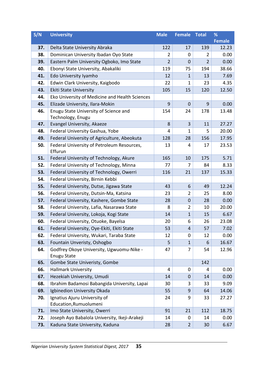| S/N | <b>University</b>                                          | <b>Male</b>    | <b>Female</b>    | <b>Total</b>   | %             |
|-----|------------------------------------------------------------|----------------|------------------|----------------|---------------|
|     |                                                            |                |                  |                | <b>Female</b> |
| 37. | Delta State University Abraka                              | 122            | 17               | 139            | 12.23         |
| 38. | Dominican University Ibadan Oyo State                      | $\overline{2}$ | 0                | $\overline{2}$ | 0.00          |
| 39. | Eastern Palm University Ogboko, Imo State                  | $\overline{2}$ | $\mathbf 0$      | $\overline{2}$ | 0.00          |
| 40. | Ebonyi State University, Abakaliki                         | 119            | 75               | 194            | 38.66         |
| 41. | Edo University Iyamho                                      | 12             | $\mathbf{1}$     | 13             | 7.69          |
| 42. | Edwin Clark University, Kaigbodo                           | 22             | $\mathbf{1}$     | 23             | 4.35          |
| 43. | <b>Ekiti State University</b>                              | 105            | 15               | 120            | 12.50         |
| 44. | Eko University of Medicine and Health Sciences             |                |                  |                |               |
| 45. | Elizade University, Ilara-Mokin                            | 9              | $\boldsymbol{0}$ | 9              | 0.00          |
| 46. | Enugu State University of Science and<br>Technology, Enugu | 154            | 24               | 178            | 13.48         |
| 47. | Evangel University, Akaeze                                 | 8              | 3                | 11             | 27.27         |
| 48. | Federal University Gashua, Yobe                            | 4              | 1                | 5              | 20.00         |
| 49. | Federal University of Agriculture, Abeokuta                | 128            | 28               | 156            | 17.95         |
| 50. | Federal University of Petroleum Resources,<br>Effurun      | 13             | 4                | 17             | 23.53         |
| 51. | Federal University of Technology, Akure                    | 165            | 10               | 175            | 5.71          |
| 52. | Federal University of Technology, Minna                    | 77             | 7                | 84             | 8.33          |
| 53. | Federal University of Technology, Owerri                   | 116            | 21               | 137            | 15.33         |
| 54. | Federal University, Birnin Kebbi                           |                |                  |                |               |
| 55. | Federal University, Dutse, Jigawa State                    | 43             | 6                | 49             | 12.24         |
| 56. | Federal University, Dutsin-Ma, Katsina                     | 23             | $\overline{2}$   | 25             | 8.00          |
| 57. | Federal University, Kashere, Gombe State                   | 28             | $\boldsymbol{0}$ | 28             | 0.00          |
| 58. | Federal University, Lafia, Nasarawa State                  | 8              | $\overline{2}$   | 10             | 20.00         |
| 59. | Federal University, Lokoja, Kogi State                     | 14             | $\mathbf{1}$     | 15             | 6.67          |
| 60. | Federal University, Otuoke, Bayelsa                        | 20             | 6                | 26             | 23.08         |
| 61. | Federal University, Oye-Ekiti, Ekiti State                 | 53             | $\overline{4}$   | 57             | 7.02          |
| 62. | Federal University, Wukari, Taraba State                   | 12             | 0                | 12             | 0.00          |
| 63. | Fountain Unveristy, Oshogbo                                | 5              | $\mathbf{1}$     | 6              | 16.67         |
| 64. | Godfrey Okoye University, Ugwuomu-Nike -                   | 47             | 7                | 54             | 12.96         |
|     | <b>Enugu State</b>                                         |                |                  |                |               |
| 65. | Gombe State Univeristy, Gombe                              |                |                  | 142            |               |
| 66. | <b>Hallmark University</b>                                 | 4              | 0                | 4              | 0.00          |
| 67. | Hezekiah University, Umudi                                 | 14             | $\mathbf 0$      | 14             | 0.00          |
| 68. | Ibrahim Badamosi Babangida University, Lapai               | 30             | 3                | 33             | 9.09          |
| 69. | Igbinedion University Okada                                | 55             | 9                | 64             | 14.06         |
| 70. | Ignatius Ajuru University of                               | 24             | 9                | 33             | 27.27         |
|     | Education, Rumuolumeni                                     |                |                  |                |               |
| 71. | Imo State University, Owerri                               | 91             | 21               | 112            | 18.75         |
| 72. | Joseph Ayo Babalola University, Ikeji-Arakeji              | 14             | 0                | 14             | 0.00          |
| 73. | Kaduna State University, Kaduna                            | 28             | $\overline{2}$   | 30             | 6.67          |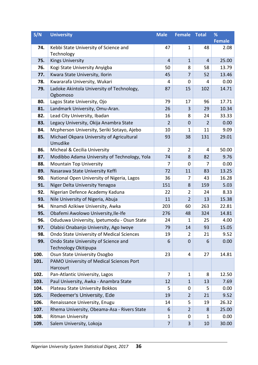| S/N  | <b>University</b>                                    | <b>Male</b>    | <b>Female</b>  | <b>Total</b>   | %             |
|------|------------------------------------------------------|----------------|----------------|----------------|---------------|
|      |                                                      |                |                |                | <b>Female</b> |
| 74.  | Kebbi State University of Science and<br>Technology  | 47             | 1              | 48             | 2.08          |
| 75.  | <b>Kings University</b>                              | $\overline{4}$ | $\mathbf{1}$   | $\overline{4}$ | 25.00         |
| 76.  | Kogi State University Anyigba                        | 50             | 8              | 58             | 13.79         |
| 77.  | Kwara State University, Ilorin                       | 45             | $\overline{7}$ | 52             | 13.46         |
| 78.  | Kwararafa University, Wukari                         | 4              | 0              | 4              | 0.00          |
| 79.  | Ladoke Akintola University of Technology,            | 87             | 15             | 102            | 14.71         |
|      | Ogbomoso                                             |                |                |                |               |
| 80.  | Lagos State University, Ojo                          | 79             | 17             | 96             | 17.71         |
| 81.  | Landmark University, Omu-Aran.                       | 26             | 3              | 29             | 10.34         |
| 82.  | Lead City University, Ibadan                         | 16             | 8              | 24             | 33.33         |
| 83.  | Legacy University, Okija Anambra State               | 2              | $\mathbf 0$    | $\overline{2}$ | 0.00          |
| 84.  | Mcpherson University, Seriki Sotayo, Ajebo           | 10             | 1              | 11             | 9.09          |
| 85.  | Michael Okpara University of Agricultural<br>Umudike | 93             | 38             | 131            | 29.01         |
| 86.  | Micheal & Cecilia University                         | $\overline{2}$ | $\overline{2}$ | 4              | 50.00         |
| 87.  | Modibbo Adama University of Technology, Yola         | 74             | 8              | 82             | 9.76          |
| 88.  | <b>Mountain Top University</b>                       | 7              | 0              | 7              | 0.00          |
| 89.  | Nasarawa State University Keffi                      | 72             | 11             | 83             | 13.25         |
| 90.  | National Open University of Nigeria, Lagos           | 36             | 7              | 43             | 16.28         |
| 91.  | Niger Delta University Yenagoa                       | 151            | 8              | 159            | 5.03          |
| 92.  | Nigerian Defence Academy Kaduna                      | 22             | 2              | 24             | 8.33          |
| 93.  | Nile University of Nigeria, Abuja                    | 11             | $\overline{2}$ | 13             | 15.38         |
| 94.  | Nnamdi Azikiwe University, Awka                      | 203            | 60             | 263            | 22.81         |
| 95.  | Obafemi Awolowo University, Ile-Ife                  | 276            | 48             | 324            | 14.81         |
| 96.  | Oduduwa University, Ipetumodu - Osun State           | 24             | $\mathbf 1$    | 25             | 4.00          |
| 97.  | Olabisi Onabanjo University, Ago Iwoye               | 79             | 14             | 93             | 15.05         |
| 98.  | Ondo State University of Medical Sciences            | 19             | 2              | 21             | 9.52          |
| 99.  | Ondo State University of Science and                 | 6              | 0              | 6              | 0.00          |
|      | <b>Technology Okitipupa</b>                          | 23             | $\overline{4}$ | 27             |               |
| 100. | Osun State University Osogbo                         |                |                |                | 14.81         |
| 101. | PAMO University of Medical Sciences Port<br>Harcourt |                |                |                |               |
| 102. | Pan-Atlantic University, Lagos                       | 7              | 1              | 8              | 12.50         |
| 103. | Paul University, Awka - Anambra State                | 12             | $\mathbf{1}$   | 13             | 7.69          |
| 104. | Plateau State University Bokkos                      | 5              | 0              | 5              | 0.00          |
| 105. | Redeemer's University, Ede                           | 19             | $\overline{2}$ | 21             | 9.52          |
| 106. | Renaissance University, Enugu                        | 14             | 5              | 19             | 26.32         |
| 107. | Rhema University, Obeama-Asa - Rivers State          | 6              | $\overline{2}$ | 8              | 25.00         |
| 108. | <b>Ritman University</b>                             | $\mathbf{1}$   | 0              | $\mathbf 1$    | 0.00          |
| 109. | Salem University, Lokoja                             | $\overline{7}$ | 3              | 10             | 30.00         |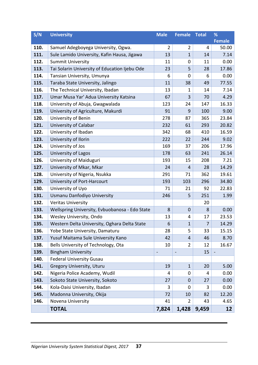<span id="page-46-0"></span>

| S/N  | <b>University</b>                              | <b>Male</b> | <b>Female</b>  | <b>Total</b> | %             |
|------|------------------------------------------------|-------------|----------------|--------------|---------------|
|      |                                                |             |                |              | <b>Female</b> |
| 110. | Samuel Adegboyega University, Ogwa.            | 2           | $\overline{2}$ | 4            | 50.00         |
| 111. | Sule Lamido University, Kafin Hausa, Jigawa    | 13          | $\mathbf{1}$   | 14           | 7.14          |
| 112. | <b>Summit University</b>                       | 11          | 0              | 11           | 0.00          |
| 113. | Tai Solarin University of Education Ijebu Ode  | 23          | 5              | 28           | 17.86         |
| 114. | Tansian University, Umunya                     | 6           | $\mathbf 0$    | 6            | 0.00          |
| 115. | Taraba State University, Jalingo               | 11          | 38             | 49           | 77.55         |
| 116. | The Technical University, Ibadan               | 13          | 1              | 14           | 7.14          |
| 117. | Umar Musa Yar' Adua University Katsina         | 67          | 3              | 70           | 4.29          |
| 118. | University of Abuja, Gwagwalada                | 123         | 24             | 147          | 16.33         |
| 119. | University of Agriculture, Makurdi             | 91          | 9              | 100          | 9.00          |
| 120. | University of Benin                            | 278         | 87             | 365          | 23.84         |
| 121. | University of Calabar                          | 232         | 61             | 293          | 20.82         |
| 122. | University of Ibadan                           | 342         | 68             | 410          | 16.59         |
| 123. | University of Ilorin                           | 222         | 22             | 244          | 9.02          |
| 124. | University of Jos                              | 169         | 37             | 206          | 17.96         |
| 125. | <b>University of Lagos</b>                     | 178         | 63             | 241          | 26.14         |
| 126. | University of Maiduguri                        | 193         | 15             | 208          | 7.21          |
| 127. | University of Mkar, Mkar                       | 24          | $\overline{4}$ | 28           | 14.29         |
| 128. | University of Nigeria, Nsukka                  | 291         | 71             | 362          | 19.61         |
| 129. | University of Port-Harcourt                    | 193         | 103            | 296          | 34.80         |
| 130. | University of Uyo                              | 71          | 21             | 92           | 22.83         |
| 131. | Usmanu Danfodiyo University                    | 246         | 5              | 251          | 1.99          |
| 132. | <b>Veritas University</b>                      |             |                | 20           |               |
| 133. | Wellspring University, Evbuobanosa - Edo State | 8           | $\mathbf 0$    | 8            | 0.00          |
| 134. | Wesley University, Ondo                        | 13          | 4              | 17           | 23.53         |
| 135. | Western Delta University, Oghara Delta State   | 6           | $\mathbf{1}$   | 7            | 14.29         |
| 136. | Yobe State University, Damaturu                | 28          | 5              | 33           | 15.15         |
| 137. | Yusuf Maitama Sule University Kano             | 42          | $\overline{4}$ | 46           | 8.70          |
| 138. | Bells University of Technology, Ota            | 10          | $\overline{2}$ | 12           | 16.67         |
| 139. | <b>Bingham University</b>                      |             |                | 15           |               |
| 140. | <b>Federal University Gusau</b>                |             |                |              |               |
| 141. | <b>Gregory University, Uturu</b>               | 19          | $\mathbf{1}$   | 20           | 5.00          |
| 142. | Nigeria Police Academy, Wudil                  | 4           | 0              | 4            | 0.00          |
| 143. | Sokoto State University, Sokoto                | 27          | $\mathbf 0$    | 27           | 0.00          |
| 144. | Kola-Daisi University, Ibadan                  | 3           | 0              | 3            | 0.00          |
| 145. | Madonna University, Okija                      | 72          | 10             | 82           | 12.20         |
| 146. | Novena University                              | 41          | $\overline{2}$ | 43           | 4.65          |
|      | <b>TOTAL</b>                                   | 7,824       | 1,428          | 9,459        | 12            |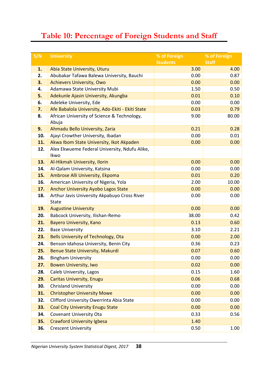### **Table 10: Percentage of Foreign Students and Staff**

| S/N | <b>University</b>                                            | % of Foreign    | % of Foreign |
|-----|--------------------------------------------------------------|-----------------|--------------|
|     |                                                              | <b>Students</b> | <b>Staff</b> |
| 1.  | Abia State University, Uturu                                 | 3.00            | 4.00         |
| 2.  | Abubakar Tafawa Balewa University, Bauchi                    | 0.00            | 0.87         |
| 3.  | <b>Achievers University, Owo</b>                             | 0.00            | 0.00         |
| 4.  | Adamawa State University Mubi                                | 1.50            | 0.50         |
| 5.  | Adekunle Ajasin University, Akungba                          | 0.01            | 0.10         |
| 6.  | Adeleke University, Ede                                      | 0.00            | 0.00         |
| 7.  | Afe Babalola University, Ado-Ekiti - Ekiti State             | 0.03            | 0.79         |
| 8.  | African University of Science & Technology,                  | 9.00            | 80.00        |
| 9.  | Abuja<br>Ahmadu Bello University, Zaria                      | 0.21            | 0.28         |
| 10. | Ajayi Crowther University, Ibadan                            | 0.00            | 0.01         |
| 11. | Akwa Ibom State University, Ikot Akpaden                     | 0.00            | 0.00         |
| 12. | Alex Ekwueme Federal University, Ndufu Alike,                |                 |              |
|     | Ikwo                                                         |                 |              |
| 13. | Al-Hikmah University, Ilorin                                 | 0.00            | 0.00         |
| 14. | Al-Qalam University, Katsina                                 | 0.00            | 0.00         |
| 15. | Ambrose Alli University, Ekpoma                              | 0.01            | 0.20         |
| 16. | American University of Nigeria, Yola                         | 2.00            | 10.00        |
| 17. | <b>Anchor University Ayobo Lagos State</b>                   | 0.00            | 0.00         |
| 18. | Arthur Javis University Akpabuyo Cross River<br><b>State</b> | 0.00            | 0.00         |
| 19. | <b>Augustine University</b>                                  | 0.00            | 0.00         |
| 20. | Babcock University, Ilishan-Remo                             | 38.00           | 0.42         |
| 21. | <b>Bayero University, Kano</b>                               | 0.13            | 0.60         |
| 22. | <b>Baze University</b>                                       | 3.10            | 2.21         |
| 23. | Bells University of Technology, Ota                          | 0.00            | 2.00         |
| 24. | Benson Idahosa University, Benin City                        | 0.36            | 0.23         |
| 25. | Benue State University, Makurdi                              | 0.07            | 0.60         |
| 26. | <b>Bingham University</b>                                    | 0.00            | 0.00         |
| 27. | <b>Bowen University, Iwo</b>                                 | 0.02            | 0.00         |
| 28. | Caleb University, Lagos                                      | 0.15            | 1.60         |
| 29. | <b>Caritas University, Enugu</b>                             | 0.06            | 0.68         |
| 30. | <b>Chrisland University</b>                                  | 0.00            | 0.00         |
| 31. | <b>Christopher University Mowe</b>                           | 0.00            | 0.00         |
| 32. | Clifford University Owerrinta Abia State                     | 0.00            | 0.00         |
| 33. | <b>Coal City University Enugu State</b>                      | 0.00            | 0.00         |
| 34. | <b>Covenant University Ota</b>                               | 0.33            | 0.56         |
| 35. | <b>Crawford University Igbesa</b>                            | 1.40            |              |
| 36. | <b>Crescent University</b>                                   | 0.50            | 1.00         |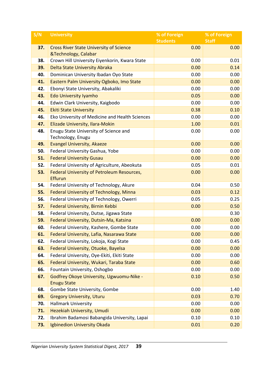| S/N | <b>University</b>                                                   | % of Foreign    | % of Foreign |
|-----|---------------------------------------------------------------------|-----------------|--------------|
|     |                                                                     | <b>Students</b> | <b>Staff</b> |
| 37. | <b>Cross River State University of Science</b>                      | 0.00            | 0.00         |
|     | &Technology, Calabar                                                |                 |              |
| 38. | Crown Hill University Eiyenkorin, Kwara State                       | 0.00            | 0.01         |
| 39. | Delta State University Abraka                                       | 0.00            | 0.14         |
| 40. | Dominican University Ibadan Oyo State                               | 0.00            | 0.00         |
| 41. | Eastern Palm University Ogboko, Imo State                           | 0.00            | 0.00         |
| 42. | Ebonyi State University, Abakaliki                                  | 0.00            | 0.00         |
| 43. | <b>Edo University Iyamho</b>                                        | 0.05            | 0.00         |
| 44. | Edwin Clark University, Kaigbodo                                    | 0.00            | 0.00         |
| 45. | <b>Ekiti State University</b>                                       | 0.38            | 0.10         |
| 46. | Eko University of Medicine and Health Sciences                      | 0.00            | 0.00         |
| 47. | Elizade University, Ilara-Mokin                                     | 1.00            | 0.01         |
| 48. | Enugu State University of Science and                               | 0.00            | 0.00         |
|     | Technology, Enugu                                                   |                 |              |
| 49. | <b>Evangel University, Akaeze</b>                                   | 0.00            | 0.00         |
| 50. | Federal University Gashua, Yobe                                     | 0.00            | 0.00         |
| 51. | <b>Federal University Gusau</b>                                     | 0.00            | 0.00         |
| 52. | Federal University of Agriculture, Abeokuta                         | 0.05            | 0.01         |
| 53. | <b>Federal University of Petroleum Resources,</b><br><b>Effurun</b> | 0.00            | 0.00         |
| 54. | Federal University of Technology, Akure                             | 0.04            | 0.50         |
| 55. | Federal University of Technology, Minna                             | 0.03            | 0.12         |
| 56. | Federal University of Technology, Owerri                            | 0.05            | 0.25         |
| 57. | Federal University, Birnin Kebbi                                    | 0.00            | 0.50         |
| 58. | Federal University, Dutse, Jigawa State                             |                 | 0.30         |
| 59. | Federal University, Dutsin-Ma, Katsina                              | 0.00            | 0.00         |
| 60. | Federal University, Kashere, Gombe State                            | 0.00            | 0.00         |
| 61. | Federal University, Lafia, Nasarawa State                           | 0.00            | 0.00         |
| 62. | Federal University, Lokoja, Kogi State                              | 0.00            | 0.45         |
| 63. | Federal University, Otuoke, Bayelsa                                 | 0.00            | 0.00         |
| 64. | Federal University, Oye-Ekiti, Ekiti State                          | 0.00            | 0.00         |
| 65. | Federal University, Wukari, Taraba State                            | 0.00            | 0.60         |
| 66. | Fountain University, Oshogbo                                        | 0.00            | 0.00         |
| 67. | Godfrey Okoye University, Ugwuomu-Nike -                            | 0.10            | 0.50         |
|     | <b>Enugu State</b>                                                  |                 |              |
| 68. | Gombe State University, Gombe                                       | 0.00            | 1.40         |
| 69. | <b>Gregory University, Uturu</b>                                    | 0.03            | 0.70         |
| 70. | <b>Hallmark University</b>                                          | 0.00            | 0.00         |
| 71. | Hezekiah University, Umudi                                          | 0.00            | 0.00         |
| 72. | Ibrahim Badamosi Babangida University, Lapai                        | 0.10            | 0.10         |
| 73. | Igbinedion University Okada                                         | 0.01            | 0.20         |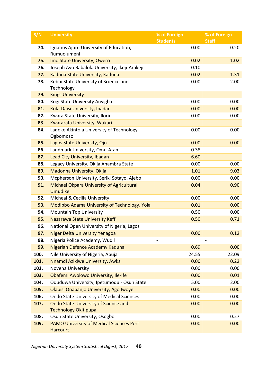| S/N  | <b>University</b>                                                  | % of Foreign                 | % of Foreign |
|------|--------------------------------------------------------------------|------------------------------|--------------|
|      |                                                                    | <b>Students</b>              | <b>Staff</b> |
| 74.  | Ignatius Ajuru University of Education,<br>Rumuolumeni             | 0.00                         | 0.20         |
| 75.  | Imo State University, Owerri                                       | 0.02                         | 1.02         |
| 76.  | Joseph Ayo Babalola University, Ikeji-Arakeji                      | 0.10                         |              |
| 77.  | Kaduna State University, Kaduna                                    | 0.02                         | 1.31         |
| 78.  | Kebbi State University of Science and<br>Technology                | 0.00                         | 2.00         |
| 79.  | <b>Kings University</b>                                            |                              |              |
| 80.  | Kogi State University Anyigba                                      | 0.00                         | 0.00         |
| 81.  | Kola-Daisi University, Ibadan                                      | 0.00                         | 0.00         |
| 82.  | Kwara State University, Ilorin                                     | 0.00                         | 0.00         |
| 83.  | Kwararafa University, Wukari                                       |                              |              |
| 84.  | Ladoke Akintola University of Technology,<br>Ogbomoso              | 0.00                         | 0.00         |
| 85.  | Lagos State University, Ojo                                        | 0.00                         | 0.00         |
| 86.  | Landmark University, Omu-Aran.                                     | 0.38                         |              |
| 87.  | Lead City University, Ibadan                                       | 6.60                         |              |
| 88.  | Legacy University, Okija Anambra State                             | 0.00                         | 0.00         |
| 89.  | Madonna University, Okija                                          | 1.01                         | 9.03         |
| 90.  | Mcpherson University, Seriki Sotayo, Ajebo                         | 0.00                         | 0.00         |
| 91.  | Michael Okpara University of Agricultural<br><b>Umudike</b>        | 0.04                         | 0.90         |
| 92.  | Micheal & Cecilia University                                       | 0.00                         | 0.00         |
| 93.  | Modibbo Adama University of Technology, Yola                       | 0.01                         | 0.00         |
| 94.  | <b>Mountain Top University</b>                                     | 0.50                         | 0.00         |
| 95.  | Nasarawa State University Keffi                                    | 0.50                         | 0.71         |
| 96.  | National Open University of Nigeria, Lagos                         |                              |              |
| 97.  | <b>Niger Delta University Yenagoa</b>                              | 0.00                         | 0.12         |
| 98.  | Nigeria Police Academy, Wudil                                      | $\qquad \qquad \blacksquare$ |              |
| 99.  | Nigerian Defence Academy Kaduna                                    | 0.69                         | 0.00         |
| 100. | Nile University of Nigeria, Abuja                                  | 24.55                        | 22.09        |
| 101. | Nnamdi Azikiwe University, Awka                                    | 0.00                         | 0.22         |
| 102. | Novena University                                                  | 0.00                         | 0.00         |
| 103. | Obafemi Awolowo University, Ile-Ife                                | 0.00                         | 0.01         |
| 104. | Oduduwa University, Ipetumodu - Osun State                         | 5.00                         | 2.00         |
| 105. | Olabisi Onabanjo University, Ago Iwoye                             | 0.00                         | 0.00         |
| 106. | Ondo State University of Medical Sciences                          | 0.00                         | 0.00         |
| 107. | Ondo State University of Science and                               | 0.00                         | 0.00         |
|      | <b>Technology Okitipupa</b>                                        |                              |              |
| 108. | Osun State University, Osogbo                                      | 0.00                         | 0.27         |
| 109. | <b>PAMO University of Medical Sciences Port</b><br><b>Harcourt</b> | 0.00                         | 0.00         |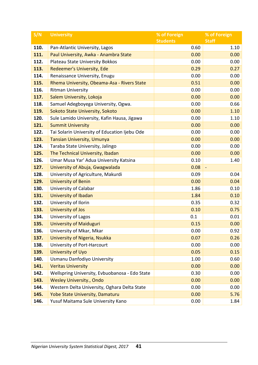| S/N  | <b>University</b>                              | % of Foreign    | % of Foreign   |
|------|------------------------------------------------|-----------------|----------------|
|      |                                                | <b>Students</b> | <b>Staff</b>   |
| 110. | Pan-Atlantic University, Lagos                 | 0.60            | 1.10           |
| 111. | Paul University, Awka - Anambra State          | 0.00            | 0.00           |
| 112. | Plateau State University Bokkos                | 0.00            | 0.00           |
| 113. | Redeemer's University, Ede                     | 0.29            | 0.27           |
| 114. | Renaissance University, Enugu                  | 0.00            | 0.00           |
| 115. | Rhema University, Obeama-Asa - Rivers State    | 0.51            | 0.00           |
| 116. | <b>Ritman University</b>                       | 0.00            | 0.00           |
| 117. | Salem University, Lokoja                       | 0.00            | 0.00           |
| 118. | Samuel Adegboyega University, Ogwa.            | 0.00            | 0.66           |
| 119. | Sokoto State University, Sokoto                | 0.00            | 1.10           |
| 120. | Sule Lamido University, Kafin Hausa, Jigawa    | 0.00            | 1.10           |
| 121. | <b>Summit University</b>                       | 0.00            | 0.00           |
| 122. | Tai Solarin University of Education Ijebu Ode  | 0.00            | 0.00           |
| 123. | <b>Tansian University, Umunya</b>              | 0.00            | 0.00           |
| 124. | Taraba State University, Jalingo               | 0.00            | 0.00           |
| 125. | The Technical University, Ibadan               | 0.00            | 0.00           |
| 126. | Umar Musa Yar' Adua University Katsina         | 0.10            | 1.40           |
| 127. | University of Abuja, Gwagwalada                | 0.08            | $\blacksquare$ |
| 128. | University of Agriculture, Makurdi             | 0.09            | 0.04           |
| 129. | <b>University of Benin</b>                     | 0.00            | 0.04           |
| 130. | University of Calabar                          | 1.86            | 0.10           |
| 131. | <b>University of Ibadan</b>                    | 1.84            | 0.10           |
| 132. | University of Ilorin                           | 0.35            | 0.32           |
| 133. | <b>University of Jos</b>                       | 0.10            | 0.75           |
| 134. | University of Lagos                            | 0.1             | 0.01           |
| 135. | <b>University of Maiduguri</b>                 | 0.15            | 0.00           |
| 136. | University of Mkar, Mkar                       | 0.00            | 0.92           |
| 137. | University of Nigeria, Nsukka                  | 0.07            | 0.26           |
| 138. | University of Port-Harcourt                    | 0.00            | 0.00           |
| 139. | <b>University of Uyo</b>                       | 0.05            | 0.15           |
| 140. | Usmanu Danfodiyo University                    | 1.00            | 0.60           |
| 141. | <b>Veritas University</b>                      | 0.00            | 0.00           |
| 142. | Wellspring University, Evbuobanosa - Edo State | 0.30            | 0.00           |
| 143. | <b>Wesley University., Ondo</b>                | 0.00            | 0.00           |
| 144. | Western Delta University, Oghara Delta State   | 0.00            | 0.00           |
| 145. | Yobe State University, Damaturu                | 0.00            | 5.76           |
| 146. | Yusuf Maitama Sule University Kano             | 0.00            | 1.84           |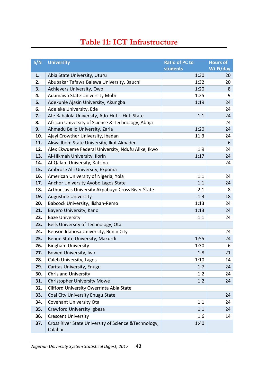### **Table 11: ICT Infrastructure**

<span id="page-51-0"></span>

| S/N | <b>University</b>                                                | <b>Ratio of PC to</b> | <b>Hours of</b> |
|-----|------------------------------------------------------------------|-----------------------|-----------------|
|     |                                                                  | <b>students</b>       | Wi-Fi/day       |
| 1.  | Abia State University, Uturu                                     | 1:30                  | 20              |
| 2.  | Abubakar Tafawa Balewa University, Bauchi                        | 1:32                  | 20              |
| 3.  | Achievers University, Owo                                        | 1:20                  | 8               |
| 4.  | Adamawa State University Mubi                                    | 1:25                  | 9               |
| 5.  | Adekunle Ajasin University, Akungba                              | 1:19                  | 24              |
| 6.  | Adeleke University, Ede                                          |                       | 24              |
| 7.  | Afe Babalola University, Ado-Ekiti - Ekiti State                 | 1:1                   | 24              |
| 8.  | African University of Science & Technology, Abuja                |                       | 24              |
| 9.  | Ahmadu Bello University, Zaria                                   | 1:20                  | 24              |
| 10. | Ajayi Crowther University, Ibadan                                | 11:3                  | 24              |
| 11. | Akwa Ibom State University, Ikot Akpaden                         |                       | 6               |
| 12. | Alex Ekwueme Federal University, Ndufu Alike, Ikwo               | 1:9                   | 24              |
| 13. | Al-Hikmah University, Ilorin                                     | 1:17                  | 24              |
| 14. | Al-Qalam University, Katsina                                     |                       | 24              |
| 15. | Ambrose Alli University, Ekpoma                                  |                       |                 |
| 16. | American University of Nigeria, Yola                             | 1:1                   | 24              |
| 17. | Anchor University Ayobo Lagos State                              | 1:1                   | 24              |
| 18. | Arthur Javis University Akpabuyo Cross River State               | 2:1                   | 8               |
| 19. | <b>Augustine University</b>                                      | 1:3                   | 18              |
| 20. | Babcock University, Ilishan-Remo                                 | 1:13                  | 24              |
| 21. | Bayero University, Kano                                          | 1:13                  | 24              |
| 22. | <b>Baze University</b>                                           | 1.1                   | 24              |
| 23. | Bells University of Technology, Ota                              |                       |                 |
| 24. | Benson Idahosa University, Benin City                            |                       | 24              |
| 25. | Benue State University, Makurdi                                  | 1:55                  | 24              |
| 26. | <b>Bingham University</b>                                        | 1:30                  | 6               |
| 27. | Bowen University, Iwo                                            | 1:8                   | 21              |
| 28. | Caleb University, Lagos                                          | 1:10                  | 14              |
| 29. | Caritas University, Enugu                                        | 1:7                   | 24              |
| 30. | <b>Chrisland University</b>                                      | 1:2                   | 24              |
| 31. | <b>Christopher University Mowe</b>                               | 1:2                   | 24              |
| 32. | Clifford University Owerrinta Abia State                         |                       |                 |
| 33. | Coal City University Enugu State                                 |                       | 24              |
| 34. | <b>Covenant University Ota</b>                                   | 1:1                   | 24              |
| 35. | Crawford University Igbesa                                       | 1:1                   | 24              |
| 36. | <b>Crescent University</b>                                       | 1:6                   | 14              |
|     |                                                                  | 1:40                  |                 |
| 37. | Cross River State University of Science & Technology,<br>Calabar |                       |                 |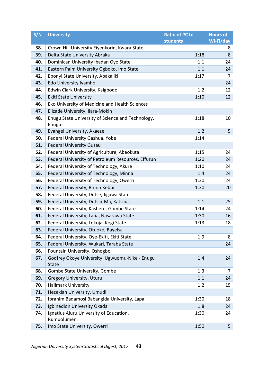| S/N | <b>University</b>                                              | <b>Ratio of PC to</b> | <b>Hours of</b> |
|-----|----------------------------------------------------------------|-----------------------|-----------------|
|     |                                                                | <b>students</b>       | Wi-Fi/day       |
| 38. | Crown Hill University Eiyenkorin, Kwara State                  |                       | 8               |
| 39. | Delta State University Abraka                                  | 1:18                  | 8               |
| 40. | Dominican University Ibadan Oyo State                          | 1:1                   | 24              |
| 41. | Eastern Palm University Ogboko, Imo State                      | 1:1                   | 24              |
| 42. | Ebonyi State University, Abakaliki                             | 1:17                  | 7               |
| 43. | Edo University Iyamho                                          |                       | 24              |
| 44. | Edwin Clark University, Kaigbodo                               | 1:2                   | 12              |
| 45. | <b>Ekiti State University</b>                                  | 1:10                  | 12              |
| 46. | Eko University of Medicine and Health Sciences                 |                       |                 |
| 47. | Elizade University, Ilara-Mokin                                |                       |                 |
| 48. | Enugu State University of Science and Technology,<br>Enugu     | 1:18                  | 10              |
| 49. | Evangel University, Akaeze                                     | 1:2                   | 5               |
| 50. | Federal University Gashua, Yobe                                | 1:14                  |                 |
| 51. | <b>Federal University Gusau</b>                                |                       |                 |
| 52. | Federal University of Agriculture, Abeokuta                    | 1:15                  | 24              |
| 53. | Federal University of Petroleum Resources, Effurun             | 1:20                  | 24              |
| 54. | Federal University of Technology, Akure                        | 1:10                  | 24              |
| 55. | Federal University of Technology, Minna                        | 1:4                   | 24              |
| 56. | Federal University of Technology, Owerri                       | 1:30                  | 24              |
| 57. | Federal University, Birnin Kebbi                               | 1:30                  | 20              |
| 58. | Federal University, Dutse, Jigawa State                        |                       |                 |
| 59. | Federal University, Dutsin-Ma, Katsina                         | 1:1                   | 25              |
| 60. | Federal University, Kashere, Gombe State                       | 1:14                  | 24              |
| 61. | Federal University, Lafia, Nasarawa State                      | 1:30                  | 16              |
| 62. | Federal University, Lokoja, Kogi State                         | 1:13                  | 18              |
| 63. | Federal University, Otuoke, Bayelsa                            |                       |                 |
| 64. | Federal University, Oye-Ekiti, Ekiti State                     | 1:9                   | 8               |
| 65. | Federal University, Wukari, Taraba State                       |                       | 24              |
| 66. | Fountain University, Oshogbo                                   |                       |                 |
| 67. | Godfrey Okoye University, Ugwuomu-Nike - Enugu<br><b>State</b> | 1:4                   | 24              |
| 68. | Gombe State University, Gombe                                  | 1:3                   | 7               |
| 69. | <b>Gregory University, Uturu</b>                               | 1:1                   | 24              |
| 70. | <b>Hallmark University</b>                                     | 1:2                   | 15              |
| 71. | Hezekiah University, Umudi                                     |                       |                 |
| 72. | Ibrahim Badamosi Babangida University, Lapai                   | 1:30                  | 18              |
| 73. | Igbinedion University Okada                                    | 1:8                   | 24              |
| 74. | Ignatius Ajuru University of Education,<br>Rumuolumeni         | 1:30                  | 24              |
| 75. | Imo State University, Owerri                                   | 1:50                  | 5               |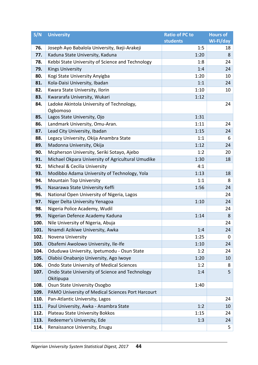| S/N  | <b>University</b>                                 | <b>Ratio of PC to</b> | <b>Hours of</b> |
|------|---------------------------------------------------|-----------------------|-----------------|
|      |                                                   | <b>students</b>       | Wi-Fi/day       |
| 76.  | Joseph Ayo Babalola University, Ikeji-Arakeji     | 1:5                   | 18              |
| 77.  | Kaduna State University, Kaduna                   | 1:20                  | 8               |
| 78.  | Kebbi State University of Science and Technology  | 1:8                   | 24              |
| 79.  | <b>Kings University</b>                           | 1:4                   | 24              |
| 80.  | Kogi State University Anyigba                     | 1:20                  | 10              |
| 81.  | Kola-Daisi University, Ibadan                     | 1:1                   | 24              |
| 82.  | Kwara State University, Ilorin                    | 1:10                  | 10              |
| 83.  | Kwararafa University, Wukari                      | 1:12                  |                 |
| 84.  | Ladoke Akintola University of Technology,         |                       | 24              |
|      | Ogbomoso                                          |                       |                 |
| 85.  | Lagos State University, Ojo                       | 1:31                  |                 |
| 86.  | Landmark University, Omu-Aran.                    | 1:11                  | 24              |
| 87.  | Lead City University, Ibadan                      | 1:15                  | 24              |
| 88.  | Legacy University, Okija Anambra State            | 1:1                   | 6               |
| 89.  | Madonna University, Okija                         | 1:12                  | 24              |
| 90.  | Mcpherson University, Seriki Sotayo, Ajebo        | 1:2                   | 20              |
| 91.  | Michael Okpara University of Agricultural Umudike | 1:30                  | 18              |
| 92.  | Micheal & Cecilia University                      | 4:1                   |                 |
| 93.  | Modibbo Adama University of Technology, Yola      | 1:13                  | 18              |
| 94.  | <b>Mountain Top University</b>                    | 1:1                   | 8               |
| 95.  | Nasarawa State University Keffi                   | 1:56                  | 24              |
| 96.  | National Open University of Nigeria, Lagos        |                       | 24              |
| 97.  | Niger Delta University Yenagoa                    | 1:10                  | 24              |
| 98.  | Nigeria Police Academy, Wudil                     |                       | 24              |
| 99.  | Nigerian Defence Academy Kaduna                   | 1:14                  | 8               |
| 100. | Nile University of Nigeria, Abuja                 |                       | 24              |
| 101. | Nnamdi Azikiwe University, Awka                   | 1:4                   | 24              |
| 102. | Novena University                                 | 1:25                  | 0               |
| 103. | Obafemi Awolowo University, Ile-Ife               | 1:10                  | 24              |
| 104. | Oduduwa University, Ipetumodu - Osun State        | 1:2                   | 24              |
| 105. | Olabisi Onabanjo University, Ago Iwoye            | 1:20                  | 10              |
| 106. | Ondo State University of Medical Sciences         | 1:2                   | 8               |
| 107. | Ondo State University of Science and Technology   | 1:4                   | 5               |
|      | Okitipupa                                         |                       |                 |
| 108. | Osun State University Osogbo                      | 1:40                  |                 |
| 109. | PAMO University of Medical Sciences Port Harcourt |                       |                 |
| 110. | Pan-Atlantic University, Lagos                    |                       | 24              |
| 111. | Paul University, Awka - Anambra State             | 1:2                   | 10              |
| 112. | Plateau State University Bokkos                   | 1:15                  | 24              |
| 113. | Redeemer's University, Ede                        | 1:3                   | 24              |
| 114. | Renaissance University, Enugu                     |                       | 5               |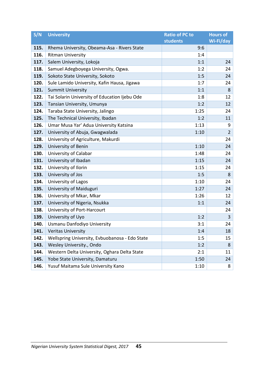| S/N  | <b>University</b>                              | <b>Ratio of PC to</b> | <b>Hours of</b> |
|------|------------------------------------------------|-----------------------|-----------------|
|      |                                                | students              | Wi-Fi/day       |
| 115. | Rhema University, Obeama-Asa - Rivers State    | 9:6                   |                 |
| 116. | <b>Ritman University</b>                       | 1:4                   |                 |
| 117. | Salem University, Lokoja                       | 1:1                   | 24              |
| 118. | Samuel Adegboyega University, Ogwa.            | 1:2                   | 24              |
| 119. | Sokoto State University, Sokoto                | 1:5                   | 24              |
| 120. | Sule Lamido University, Kafin Hausa, Jigawa    | 1:7                   | 24              |
| 121. | <b>Summit University</b>                       | 1:1                   | 8               |
| 122. | Tai Solarin University of Education Ijebu Ode  | 1:8                   | 12              |
| 123. | Tansian University, Umunya                     | 1:2                   | 12              |
| 124. | Taraba State University, Jalingo               | 1:25                  | 24              |
| 125. | The Technical University, Ibadan               | 1:2                   | 11              |
| 126. | Umar Musa Yar' Adua University Katsina         | 1:13                  | 9               |
| 127. | University of Abuja, Gwagwalada                | 1:10                  | $\overline{2}$  |
| 128. | University of Agriculture, Makurdi             |                       | 24              |
| 129. | University of Benin                            | 1:10                  | 24              |
| 130. | University of Calabar                          | 1:48                  | 24              |
| 131. | University of Ibadan                           | 1:15                  | 24              |
| 132. | University of Ilorin                           | 1:15                  | 24              |
| 133. | University of Jos                              | 1:5                   | 8               |
| 134. | University of Lagos                            | 1:10                  | 24              |
| 135. | University of Maiduguri                        | 1:27                  | 24              |
| 136. | University of Mkar, Mkar                       | 1:26                  | 12              |
| 137. | University of Nigeria, Nsukka                  | 1:1                   | 24              |
| 138. | University of Port-Harcourt                    |                       | 24              |
| 139. | University of Uyo                              | 1:2                   | $\mathbf{3}$    |
| 140. | Usmanu Danfodiyo University                    | 3:1                   | 24              |
| 141. | <b>Veritas University</b>                      | 1:4                   | 18              |
| 142. | Wellspring University, Evbuobanosa - Edo State | 1:5                   | 15              |
| 143. | Wesley University., Ondo                       | 1:2                   | 8               |
| 144. | Western Delta University, Oghara Delta State   | 2:1                   | 11              |
| 145. | Yobe State University, Damaturu                | 1:50                  | 24              |
| 146. | Yusuf Maitama Sule University Kano             | 1:10                  | 8               |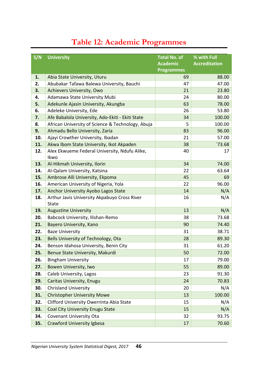<span id="page-55-0"></span>

| S/N        | <b>University</b>                                                             | <b>Total No. of</b> | % with Full          |
|------------|-------------------------------------------------------------------------------|---------------------|----------------------|
|            |                                                                               | <b>Academic</b>     | <b>Accreditation</b> |
|            |                                                                               | <b>Programmes</b>   |                      |
| 1.         | Abia State University, Uturu                                                  | 69                  | 88.00                |
| 2.         | Abubakar Tafawa Balewa University, Bauchi                                     | 47                  | 47.00                |
| 3.         | <b>Achievers University, Owo</b>                                              | 21                  | 23.80                |
| 4.         | Adamawa State University Mubi                                                 | 24                  | 80.00                |
| 5.         | Adekunle Ajasin University, Akungba                                           | 63                  | 78.00                |
| 6.         | Adeleke University, Ede                                                       | 26                  | 53.80                |
| 7.         | Afe Babalola University, Ado-Ekiti - Ekiti State                              | 34<br>5             | 100.00<br>100.00     |
| 8.         | African University of Science & Technology, Abuja                             | 83                  | 96.00                |
| 9.         | Ahmadu Bello University, Zaria                                                | 21                  |                      |
| 10.<br>11. | Ajayi Crowther University, Ibadan<br>Akwa Ibom State University, Ikot Akpaden | 38                  | 57.00<br>'73.68      |
| 12.        | Alex Ekwueme Federal University, Ndufu Alike,                                 | 40                  | 17                   |
|            | Ikwo                                                                          |                     |                      |
| 13.        | Al-Hikmah University, Ilorin                                                  | 34                  | 74.00                |
| 14.        | Al-Qalam University, Katsina                                                  | 22                  | 63.64                |
| 15.        | Ambrose Alli University, Ekpoma                                               | 45                  | 69                   |
| 16.        | American University of Nigeria, Yola                                          | 22                  | 96.00                |
| 17.        | Anchor University Ayobo Lagos State                                           | 14                  | N/A                  |
| 18.        | Arthur Javis University Akpabuyo Cross River                                  | 16                  | N/A                  |
|            | <b>State</b>                                                                  |                     |                      |
| 19.        | <b>Augustine University</b>                                                   | 13                  | N/A                  |
| 20.        | Babcock University, Ilishan-Remo                                              | 38                  | 73.68                |
| 21.        | <b>Bayero University, Kano</b>                                                | 90                  | 74.40                |
| 22.        | <b>Baze University</b>                                                        | 31                  | 38.71                |
| 23.        | <b>Bells University of Technology, Ota</b>                                    | 28                  | 89.30                |
| 24.        | Benson Idahosa University, Benin City                                         | 31                  | 61.20                |
| 25.        | Benue State University, Makurdi                                               | 50                  | 72.00                |
| 26.        | <b>Bingham University</b>                                                     | 17                  | 79.00                |
| 27.        | <b>Bowen University, Iwo</b>                                                  | 55                  | 89.00                |
| 28.        | Caleb University, Lagos                                                       | 23                  | 91.30                |
| 29.        | Caritas University, Enugu                                                     | 24                  | 70.83                |
| 30.        | <b>Chrisland University</b>                                                   | 20                  | N/A                  |
| 31.        | <b>Christopher University Mowe</b>                                            | 13                  | 100.00               |
| 32.        | Clifford University Owerrinta Abia State                                      | 15                  | N/A                  |
| 33.        | <b>Coal City University Enugu State</b>                                       | 15                  | N/A                  |
| 34.        | <b>Covenant University Ota</b>                                                | 32                  | 93.75                |
| 35.        | <b>Crawford University Igbesa</b>                                             | 17                  | 70.60                |

### **Table 12: Academic Programmes**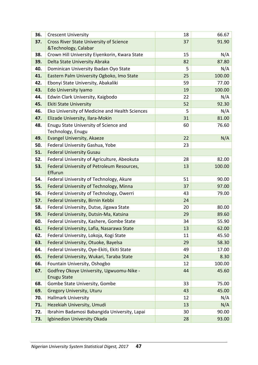| 36. | <b>Crescent University</b>                     | 18 | 66.67  |
|-----|------------------------------------------------|----|--------|
| 37. | <b>Cross River State University of Science</b> | 37 | 91.90  |
|     | &Technology, Calabar                           |    |        |
| 38. | Crown Hill University Eiyenkorin, Kwara State  | 15 | N/A    |
| 39. | Delta State University Abraka                  | 82 | 87.80  |
| 40. | Dominican University Ibadan Oyo State          | 5  | N/A    |
| 41. | Eastern Palm University Ogboko, Imo State      | 25 | 100.00 |
| 42. | Ebonyi State University, Abakaliki             | 59 | 77.00  |
| 43. | Edo University Iyamo                           | 19 | 100.00 |
| 44. | Edwin Clark University, Kaigbodo               | 22 | N/A    |
| 45. | <b>Ekiti State University</b>                  | 52 | 92.30  |
| 46. | Eko University of Medicine and Health Sciences | 5  | N/A    |
| 47. | Elizade University, Ilara-Mokin                | 31 | 81.00  |
| 48. | Enugu State University of Science and          | 60 | 76.60  |
|     | Technology, Enugu                              |    |        |
| 49. | <b>Evangel University, Akaeze</b>              | 22 | N/A    |
| 50. | Federal University Gashua, Yobe                | 23 |        |
| 51. | <b>Federal University Gusau</b>                |    |        |
| 52. | Federal University of Agriculture, Abeokuta    | 28 | 82.00  |
| 53. | Federal University of Petroleum Resources,     | 13 | 100.00 |
|     | Effurun                                        |    |        |
| 54. | Federal University of Technology, Akure        | 51 | 90.00  |
| 55. | Federal University of Technology, Minna        | 37 | 97.00  |
| 56. | Federal University of Technology, Owerri       | 43 | 79.00  |
| 57. | Federal University, Birnin Kebbi               | 24 |        |
| 58. | Federal University, Dutse, Jigawa State        | 20 | 80.00  |
| 59. | Federal University, Dutsin-Ma, Katsina         | 29 | 89.60  |
| 60. | Federal University, Kashere, Gombe State       | 34 | 55.90  |
| 61. | Federal University, Lafia, Nasarawa State      | 13 | 62.00  |
| 62. | Federal University, Lokoja, Kogi State         | 11 | 45.50  |
| 63. | Federal University, Otuoke, Bayelsa            | 29 | 58.30  |
| 64. | Federal University, Oye-Ekiti, Ekiti State     | 49 | 17.00  |
| 65. | Federal University, Wukari, Taraba State       | 24 | 8.30   |
| 66. | Fountain University, Oshogbo                   | 12 | 100.00 |
| 67. | Godfrey Okoye University, Ugwuomu-Nike -       | 44 | 45.60  |
|     | <b>Enugu State</b>                             |    |        |
| 68. | Gombe State University, Gombe                  | 33 | 75.00  |
| 69. | <b>Gregory University, Uturu</b>               | 43 | 45.00  |
| 70. | <b>Hallmark University</b>                     | 12 | N/A    |
| 71. | Hezekiah University, Umudi                     | 13 | N/A    |
| 72. | Ibrahim Badamosi Babangida University, Lapai   | 30 | 90.00  |
| 73. | Igbinedion University Okada                    | 28 | 93.00  |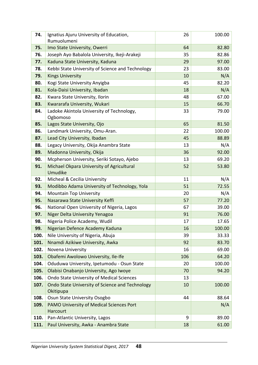| 74.  | Ignatius Ajuru University of Education,                      | 26  | 100.00 |
|------|--------------------------------------------------------------|-----|--------|
|      | Rumuolumeni                                                  |     |        |
| 75.  | Imo State University, Owerri                                 | 64  | 82.80  |
| 76.  | Joseph Ayo Babalola University, Ikeji-Arakeji                | 35  | 82.86  |
| 77.  | Kaduna State University, Kaduna                              | 29  | 97.00  |
| 78.  | Kebbi State University of Science and Technology             | 23  | 83.00  |
| 79.  | <b>Kings University</b>                                      | 10  | N/A    |
| 80.  | Kogi State University Anyigba                                | 45  | 82.20  |
| 81.  | Kola-Daisi University, Ibadan                                | 18  | N/A    |
| 82.  | Kwara State University, Ilorin                               | 48  | 67.00  |
| 83.  | Kwararafa University, Wukari                                 | 15  | 66.70  |
| 84.  | Ladoke Akintola University of Technology,                    | 33  | 79.00  |
|      | Ogbomoso                                                     |     |        |
| 85.  | Lagos State University, Ojo                                  | 65  | 81.50  |
| 86.  | Landmark University, Omu-Aran.                               | 22  | 100.00 |
| 87.  | Lead City University, Ibadan                                 | 45  | 88.89  |
| 88.  | Legacy University, Okija Anambra State                       | 13  | N/A    |
| 89.  | Madonna University, Okija                                    | 36  | 92.00  |
| 90.  | Mcpherson University, Seriki Sotayo, Ajebo                   | 13  | 69.20  |
| 91.  | Michael Okpara University of Agricultural                    | 52  | 53.80  |
|      | Umudike                                                      |     |        |
| 92.  | Micheal & Cecilia University                                 | 11  | N/A    |
| 93.  | Modibbo Adama University of Technology, Yola                 | 51  | 72.55  |
| 94.  | <b>Mountain Top University</b>                               | 20  | N/A    |
| 95.  | Nasarawa State University Keffi                              | 57  | 77.20  |
| 96.  | National Open University of Nigeria, Lagos                   | 67  | 39.00  |
| 97.  | Niger Delta University Yenagoa                               | 91  | 76.00  |
| 98.  | Nigeria Police Academy, Wudil                                | 17  | 17.65  |
| 99.  | Nigerian Defence Academy Kaduna                              | 16  | 100.00 |
| 100. | Nile University of Nigeria, Abuja                            | 39  | 33.33  |
| 101. | Nnamdi Azikiwe University, Awka                              | 92  | 83.70  |
| 102. | Novena University                                            | 16  | 69.00  |
| 103. | Obafemi Awolowo University, Ile-Ife                          | 106 | 64.20  |
| 104. | Oduduwa University, Ipetumodu - Osun State                   | 20  | 100.00 |
| 105. | Olabisi Onabanjo University, Ago Iwoye                       | 70  | 94.20  |
| 106. | Ondo State University of Medical Sciences                    | 13  |        |
| 107. | Ondo State University of Science and Technology<br>Okitipupa | 10  | 100.00 |
| 108. | Osun State University Osogbo                                 | 44  | 88.64  |
| 109. | PAMO University of Medical Sciences Port<br>Harcourt         |     | N/A    |
| 110. | Pan-Atlantic University, Lagos                               | 9   | 89.00  |
| 111. | Paul University, Awka - Anambra State                        | 18  | 61.00  |